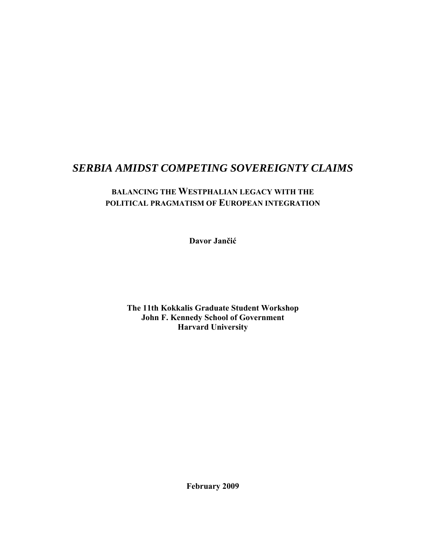# *SERBIA AMIDST COMPETING SOVEREIGNTY CLAIMS*

## **BALANCING THE WESTPHALIAN LEGACY WITH THE POLITICAL PRAGMATISM OF EUROPEAN INTEGRATION**

**Davor Jančić**

**The 11th Kokkalis Graduate Student Workshop John F. Kennedy School of Government Harvard University** 

**February 2009**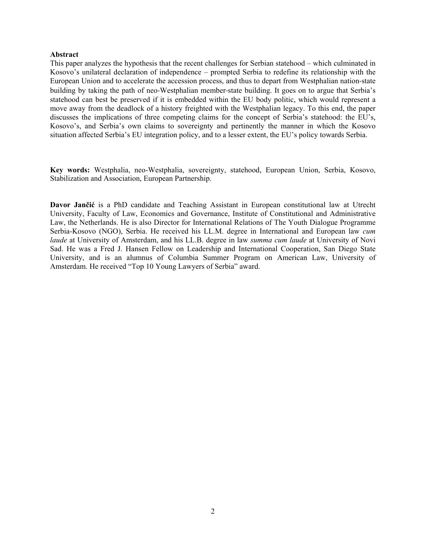#### **Abstract**

This paper analyzes the hypothesis that the recent challenges for Serbian statehood – which culminated in Kosovo's unilateral declaration of independence – prompted Serbia to redefine its relationship with the European Union and to accelerate the accession process, and thus to depart from Westphalian nation‐state building by taking the path of neo‐Westphalian member‐state building. It goes on to argue that Serbia's statehood can best be preserved if it is embedded within the EU body politic, which would represent a move away from the deadlock of a history freighted with the Westphalian legacy. To this end, the paper discusses the implications of three competing claims for the concept of Serbia's statehood: the EU's, Kosovo's, and Serbia's own claims to sovereignty and pertinently the manner in which the Kosovo situation affected Serbia's EU integration policy, and to a lesser extent, the EU's policy towards Serbia.

**Key words:** Westphalia, neo-Westphalia, sovereignty, statehood, European Union, Serbia, Kosovo, Stabilization and Association, European Partnership.

**Davor Jančić** is a PhD candidate and Teaching Assistant in European constitutional law at Utrecht University, Faculty of Law, Economics and Governance, Institute of Constitutional and Administrative Law, the Netherlands. He is also Director for International Relations of The Youth Dialogue Programme Serbia-Kosovo (NGO), Serbia. He received his LL.M. degree in International and European law *cum laude* at University of Amsterdam, and his LL.B. degree in law *summa cum laude* at University of Novi Sad. He was a Fred J. Hansen Fellow on Leadership and International Cooperation, San Diego State University, and is an alumnus of Columbia Summer Program on American Law, University of Amsterdam. He received "Top 10 Young Lawyers of Serbia" award.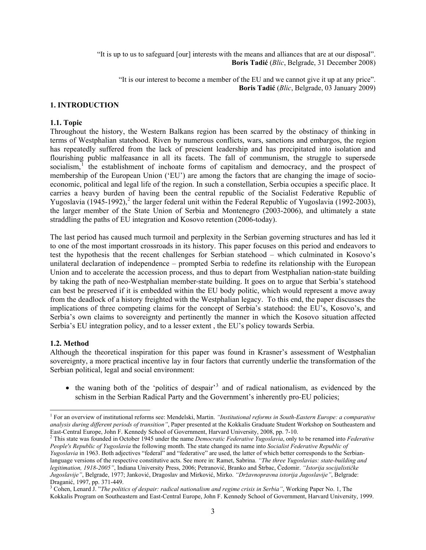"It is up to us to safeguard [our] interests with the means and alliances that are at our disposal". **Boris Tadić** (*Blic*, Belgrade, 31 December 2008)

"It is our interest to become a member of the EU and we cannot give it up at any price". **Boris Tadić** (*Blic*, Belgrade, 03 January 2009)

#### **1. INTRODUCTION**

#### **1.1. Topic**

Throughout the history, the Western Balkans region has been scarred by the obstinacy of thinking in terms of Westphalian statehood. Riven by numerous conflicts, wars, sanctions and embargos, the region has repeatedly suffered from the lack of prescient leadership and has precipitated into isolation and flourishing public malfeasance in all its facets. The fall of communism, the struggle to supersede socialism, $\frac{1}{1}$  $\frac{1}{1}$  $\frac{1}{1}$  the establishment of inchoate forms of capitalism and democracy, and the prospect of membership of the European Union ('EU') are among the factors that are changing the image of socioeconomic, political and legal life of the region. In such a constellation, Serbia occupies a specific place. It carries a heavy burden of having been the central republic of the Socialist Federative Republic of Yugoslavia  $(1945-1992)$  $(1945-1992)$  $(1945-1992)$ , <sup>2</sup> the larger federal unit within the Federal Republic of Yugoslavia (1992-2003), the larger member of the State Union of Serbia and Montenegro (2003-2006), and ultimately a state straddling the paths of EU integration and Kosovo retention (2006-today).

The last period has caused much turmoil and perplexity in the Serbian governing structures and has led it to one of the most important crossroads in its history. This paper focuses on this period and endeavors to test the hypothesis that the recent challenges for Serbian statehood – which culminated in Kosovo's unilateral declaration of independence – prompted Serbia to redefine its relationship with the European Union and to accelerate the accession process, and thus to depart from Westphalian nation‐state building by taking the path of neo‐Westphalian member‐state building. It goes on to argue that Serbia's statehood can best be preserved if it is embedded within the EU body politic, which would represent a move away from the deadlock of a history freighted with the Westphalian legacy. To this end, the paper discusses the implications of three competing claims for the concept of Serbia's statehood: the EU's, Kosovo's, and Serbia's own claims to sovereignty and pertinently the manner in which the Kosovo situation affected Serbia's EU integration policy, and to a lesser extent , the EU's policy towards Serbia.

#### **1.2. Method**

Although the theoretical inspiration for this paper was found in Krasner's assessment of Westphalian sovereignty, a more practical incentive lay in four factors that currently underlie the transformation of the Serbian political, legal and social environment:

• the waning both of the 'politics of despair'<sup>[3](#page-2-2)</sup> and of radical nationalism, as evidenced by the schism in the Serbian Radical Party and the Government's inherently pro-EU policies;

<span id="page-2-0"></span><sup>&</sup>lt;sup>1</sup> For an overview of institutional reforms see: Mendelski, Martin. *"Institutional reforms in South-Eastern Europe: a comparative analysis during different periods of transition"*, Paper presented at the Kokkalis Graduate Student Workshop on Southeastern and East-Central Europe, John F. Kennedy School of Government, Harvard University, 2008, pp. 7-10. 2

<span id="page-2-1"></span>This state was founded in October 1945 under the name *Democratic Federative Yugoslavia*, only to be renamed into *Federative People's Republic of Yugoslavia* the following month. The state changed its name into *Socialist Federative Republic of Yugoslavia* in 1963. Both adjectives "federal" and "federative" are used, the latter of which better corresponds to the Serbianlanguage versions of the respective constitutive acts. See more in: Ramet, Sabrina. *"The three Yugoslavias: state-building and legitimation, 1918-2005"*, Indiana University Press, 2006; Petranović, Branko and Štrbac, Čedomir. *"Istorija socijalističke Jugoslavije"*, Belgrade, 1977; Janković, Dragoslav and Mirković, Mirko. *"Državnopravna istorija Jugoslavije"*, Belgrade: Draganić, 1997, pp. 371-449.

<span id="page-2-2"></span><sup>&</sup>lt;sup>3</sup> Cohen, Lenard J. "*The politics of despair: radical nationalism and regime crisis in Serbia*", Working Paper No. 1, The Kokkalis Program on Southeastern and East-Central Europe, John F. Kennedy School of Government, Harvard University, 1999.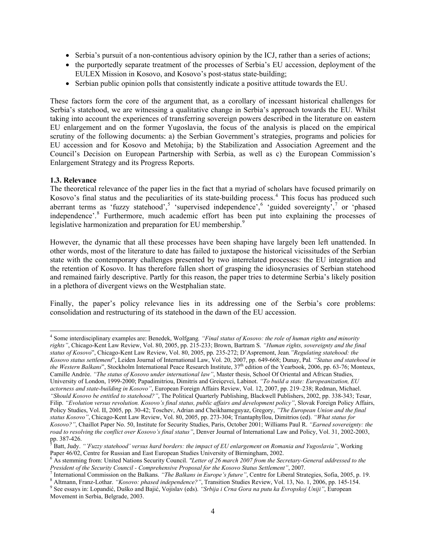- Serbia's pursuit of a non-contentious advisory opinion by the ICJ, rather than a series of actions;
- the purportedly separate treatment of the processes of Serbia's EU accession, deployment of the EULEX Mission in Kosovo, and Kosovo's post‐status state‐building;
- Serbian public opinion polls that consistently indicate a positive attitude towards the EU.

These factors form the core of the argument that, as a corollary of incessant historical challenges for Serbia's statehood, we are witnessing a qualitative change in Serbia's approach towards the EU. Whilst taking into account the experiences of transferring sovereign powers described in the literature on eastern EU enlargement and on the former Yugoslavia, the focus of the analysis is placed on the empirical scrutiny of the following documents: a) the Serbian Government's strategies, programs and policies for EU accession and for Kosovo and Metohija; b) the Stabilization and Association Agreement and the Council's Decision on European Partnership with Serbia, as well as c) the European Commission's Enlargement Strategy and its Progress Reports.

#### **1.3. Relevance**

The theoretical relevance of the paper lies in the fact that a myriad of scholars have focused primarily on Kosovo's final status and the peculiarities of its state-building process.<sup>[4](#page-3-0)</sup> This focus has produced such aberrant terms as 'fuzzy statehood',  $5$  'supervised independence',  $6$  'guided sovereignty',  $7$  or 'phased independence'.<sup>[8](#page-3-4)</sup> Furthermore, much academic effort has been put into explaining the processes of legislative harmonization and preparation for EU membership.<sup>[9](#page-3-5)</sup>

However, the dynamic that all these processes have been shaping have largely been left unattended. In other words, most of the literature to date has failed to juxtapose the historical vicissitudes of the Serbian state with the contemporary challenges presented by two interrelated processes: the EU integration and the retention of Kosovo. It has therefore fallen short of grasping the idiosyncrasies of Serbian statehood and remained fairly descriptive. Partly for this reason, the paper tries to determine Serbia's likely position in a plethora of divergent views on the Westphalian state.

Finally, the paper's policy relevance lies in its addressing one of the Serbia's core problems: consolidation and restructuring of its statehood in the dawn of the EU accession.

<span id="page-3-0"></span><sup>4</sup> Some interdisciplinary examples are: Benedek, Wolfgang*. "Final status of Kosovo: the role of human rights and minority rights"*, Chicago-Kent Law Review, Vol. 80, 2005, pp. 215-233; Brown, Bartram S. *"Human rights, sovereignty and the final status of Kosovo*", Chicago-Kent Law Review, Vol. 80, 2005, pp. 235-272; D'Aspremont, Jean*."Regulating statehood: the Kosovo status settlement*", Leiden Journal of International Law, Vol. 20, 2007, pp. 649-668; Dunay, Pal*. "Status and statehood in the Western Balkans*", Stockholm International Peace Research Institute, 37<sup>th</sup> edition of the Yearbook, 2006, pp. 63-76; Monteux, Camille Andrée. *"The status of Kosovo under international law"*, Master thesis, School Of Oriental and African Studies, University of London, 1999-2000; Papadimitriou, Dimitris and Greiçevci, Labinot. *"To build a state: Europeanization, EU actorness and state-building in Kosovo"*, European Foreign Affairs Review, Vol. 12, 2007, pp. 219–238; Redman, Michael. *"Should Kosovo be entitled to statehood?"*, The Political Quarterly Publishing, Blackwell Publishers, 2002, pp. 338-343; Tesar, Filip. *"Evolution versus revolution. Kosovo's final status, public affairs and development policy"*, Slovak Foreign Policy Affairs,

Policy Studies, Vol. II, 2005, pp. 30-42; Toschev, Adrian and Cheikhameguyaz, Gregory, *"The European Union and the final status Kosovo"*, Chicago-Kent Law Review, Vol. 80, 2005, pp. 273-304; Triantaphyllou, Dimitrios (ed). *"What status for Kosovo?"*, Chaillot Paper No. 50, Institute for Security Studies, Paris, October 2001; Williams Paul R. *"Earned sovereignty: the road to resolving the conflict over Kosovo's final status"*, Denver Journal of International Law and Policy, Vol. 31, 2002-2003, pp. 387-426.<br><sup>5</sup> Pett. Judy.

<span id="page-3-1"></span>Batt, Judy. *"'Fuzzy statehood' versus hard borders: the impact of EU enlargement on Romania and Yugoslavia"*, Working Paper 46/02, Centre for Russian and East European Studies University of Birmingham, 2002.

<span id="page-3-2"></span>As stemming from: United Nations Security Council. *"Letter of 26 march 2007 from the Secretary-General addressed to the President of the Security Council - Comprehensive Proposal for the Kosovo Status Settlement"*, 2007.<br><sup>7</sup> International Commission on the Balkans *"The Balkans in Funene's future"*, Contre for Liberal Strai

International Commission on the Balkans. *"The Balkans in Europe's future"*, Centre for Liberal Strategies, Sofia, 2005, p. 19.<br><sup>8</sup> Altmann, Franz Lother, *"Kesove; phased independence?"* Trapition Studies Boyievy, Vel. 13

<span id="page-3-4"></span><span id="page-3-3"></span>Altmann, Franz-Lothar. *"Kosovo: phased independence?"*, Transition Studies Review, Vol. 13, No. 1, 2006, pp. 145-154. 9 See essays in: Lopandić, Duško and Bajić, Vojislav (eds). *"Srbija i Crna Gora na putu ka Evropskoj Uniji"*, European

<span id="page-3-5"></span>Movement in Serbia, Belgrade, 2003.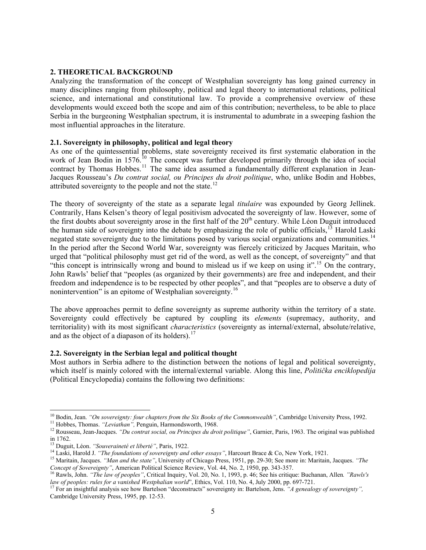#### **2. THEORETICAL BACKGROUND**

Analyzing the transformation of the concept of Westphalian sovereignty has long gained currency in many disciplines ranging from philosophy, political and legal theory to international relations, political science, and international and constitutional law. To provide a comprehensive overview of these developments would exceed both the scope and aim of this contribution; nevertheless, to be able to place Serbia in the burgeoning Westphalian spectrum, it is instrumental to adumbrate in a sweeping fashion the most influential approaches in the literature.

#### **2.1. Sovereignty in philosophy, political and legal theory**

As one of the quintessential problems, state sovereignty received its first systematic elaboration in the work of Jean Bodin in 1576.<sup>[10](#page-4-0)</sup> The concept was further developed primarily through the idea of social contract by Thomas Hobbes.<sup>[11](#page-4-1)</sup> The same idea assumed a fundamentally different explanation in Jean-Jacques Rousseau's *Du contrat social, ou Principes du droit politique*, who, unlike Bodin and Hobbes, attributed sovereignty to the people and not the state.<sup>[12](#page-4-2)</sup>

The theory of sovereignty of the state as a separate legal *titulaire* was expounded by Georg Jellinek. Contrarily, Hans Kelsen's theory of legal positivism advocated the sovereignty of law. However, some of the first doubts about sovereignty arose in the first half of the  $20<sup>th</sup>$  century. While Léon Duguit introduced the human side of sovereignty into the debate by emphasizing the role of public officials, $13$  Harold Laski negated state sovereignty due to the limitations posed by various social organizations and communities.<sup>[14](#page-4-4)</sup> In the period after the Second World War, sovereignty was fiercely criticized by Jacques Maritain, who urged that "political philosophy must get rid of the word, as well as the concept, of sovereignty" and that "this concept is intrinsically wrong and bound to mislead us if we keep on using it".<sup>[15](#page-4-5)</sup> On the contrary, John Rawls' belief that "peoples (as organized by their governments) are free and independent, and their freedom and independence is to be respected by other peoples", and that "peoples are to observe a duty of nonintervention" is an epitome of Westphalian sovereignty.<sup>[16](#page-4-6)</sup>

The above approaches permit to define sovereignty as supreme authority within the territory of a state. Sovereignty could effectively be captured by coupling its *elements* (supremacy, authority, and territoriality) with its most significant *characteristics* (sovereignty as internal/external, absolute/relative, and as the object of a diapason of its holders).<sup>[17](#page-4-7)</sup>

#### **2.2. Sovereignty in the Serbian legal and political thought**

Most authors in Serbia adhere to the distinction between the notions of legal and political sovereignty, which itself is mainly colored with the internal/external variable. Along this line, *Politička enciklopedija*  (Political Encyclopedia) contains the following two definitions:

<span id="page-4-0"></span> $^{10}$  Bodin, Jean. "On sovereignty: four chapters from the Six Books of the Commonwealth". Cambridge University Press, 1992.

<span id="page-4-2"></span><span id="page-4-1"></span><sup>&</sup>lt;sup>11</sup> Hobbes, Thomas. "Leviathan", Penguin, Harmondsworth, 1968.<br><sup>12</sup> Rousseau, Jean-Jacques. "Du contrat social, ou Principes du droit politique", Garnier, Paris, 1963. The original was published in 1762.<br><sup>13</sup> Duguit, Léon. *"Souveraineté et liberté"*, Paris, 1922.

<span id="page-4-5"></span><span id="page-4-4"></span><span id="page-4-3"></span><sup>&</sup>lt;sup>14</sup> Laski, Harold J. "The foundations of sovereignty and other essays", Harcourt Brace & Co, New York, 1921.<br><sup>15</sup> Maritain, Jacques. "Man and the state", University of Chicago Press, 1951, pp. 29-30; See more in: Maritai Concept of Sovereignty", American Political Science Review, Vol. 44, No. 2, 1950, pp. 343-357.<br><sup>16</sup> Rawls, John. "The law of peoples", Critical Inquiry, Vol. 20, No. 1, 1993, p. 46; See his critique: Buchanan, Allen. "Rawl

<span id="page-4-6"></span>law of peoples: rules for a vanished Westphalian world", Ethics, Vol. 110, No. 4, July 2000, pp. 697-721.<br><sup>17</sup> For an insightful analysis see how Bartelson "deconstructs" sovereignty in: Bartelson, Jens. "A genealogy of so

<span id="page-4-7"></span>Cambridge University Press, 1995, pp. 12-53.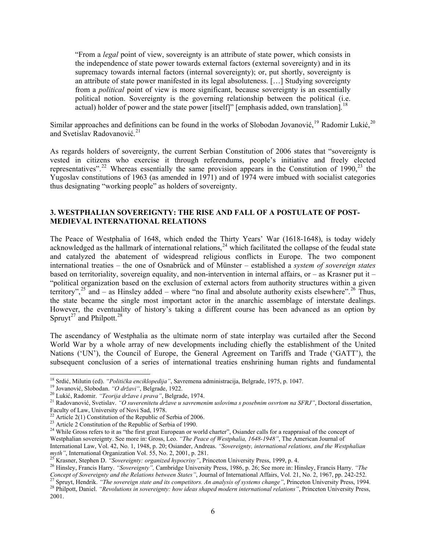"From a *legal* point of view, sovereignty is an attribute of state power, which consists in the independence of state power towards external factors (external sovereignty) and in its supremacy towards internal factors (internal sovereignty); or, put shortly, sovereignty is an attribute of state power manifested in its legal absoluteness. […] Studying sovereignty from a *political* point of view is more significant, because sovereignty is an essentially political notion. Sovereignty is the governing relationship between the political (i.e. actual) holder of power and the state power [itself]" [emphasis added, own translation].<sup>[18](#page-5-0)</sup>

Similar approaches and definitions can be found in the works of Slobodan Jovanović, <sup>[19](#page-5-1)</sup> Radomir Lukić, <sup>[20](#page-5-2)</sup> and Svetislav Radovanović. [21](#page-5-3)

As regards holders of sovereignty, the current Serbian Constitution of 2006 states that "sovereignty is vested in citizens who exercise it through referendums, people's initiative and freely elected representatives".<sup>[22](#page-5-4)</sup> Whereas essentially the same provision appears in the Constitution of 1990.<sup>[23](#page-5-5)</sup> the Yugoslav constitutions of 1963 (as amended in 1971) and of 1974 were imbued with socialist categories thus designating "working people" as holders of sovereignty.

### **3. WESTPHALIAN SOVEREIGNTY: THE RISE AND FALL OF A POSTULATE OF POST-MEDIEVAL INTERNATIONAL RELATIONS**

The Peace of Westphalia of 1648, which ended the Thirty Years' War (1618-1648), is today widely acknowledged as the hallmark of international relations,<sup>[24](#page-5-6)</sup> which facilitated the collapse of the feudal state and catalyzed the abatement of widespread religious conflicts in Europe. The two component international treaties – the one of Osnabrück and of Münster – established a *system of sovereign states* based on territoriality, sovereign equality, and non-intervention in internal affairs, or – as Krasner put it – "political organization based on the exclusion of external actors from authority structures within a given territory",<sup>[25](#page-5-7)</sup> and – as Hinsley added – where "no final and absolute authority exists elsewhere".<sup>[26](#page-5-8)</sup> Thus, the state became the single most important actor in the anarchic assemblage of interstate dealings. However, the eventuality of history's taking a different course has been advanced as an option by Spruyt<sup>[27](#page-5-9)</sup> and Philpott.<sup>28</sup>

The ascendancy of Westphalia as the ultimate norm of state interplay was curtailed after the Second World War by a whole array of new developments including chiefly the establishment of the United Nations ('UN'), the Council of Europe, the General Agreement on Tariffs and Trade ('GATT'), the subsequent conclusion of a series of international treaties enshrining human rights and fundamental

<sup>&</sup>lt;sup>18</sup> Srdić, Milutin (ed). "Politička enciklopedija", Savremena administracija, Belgrade, 1975, p. 1047.

<span id="page-5-3"></span>

<span id="page-5-2"></span><span id="page-5-1"></span><span id="page-5-0"></span><sup>&</sup>lt;sup>19</sup> Jovanović, Slobodan. *"O državi"*, Belgrade, 1922.<br><sup>20</sup> Lukić, Radomir. *"Teorija države i prava"*, Belgrade, 1974.<br><sup>21</sup> Radovanović, Svetislav. *"O suverenitetu države u savremenim uslovima s posebnim osvrtom na SFRJ* Faculty of Law, University of Novi Sad, 1978.<br><sup>22</sup> Article 2(1) Constitution of the Republic of Serbia of 2006.

<span id="page-5-6"></span><span id="page-5-5"></span><span id="page-5-4"></span><sup>&</sup>lt;sup>23</sup> Article 2 Constitution of the Republic of Serbia of 1990.<br><sup>24</sup> While Gross refers to it as "the first great European or world charter", Osiander calls for a reappraisal of the concept of Westphalian sovereignty. See more in: Gross, Leo. *"The Peace of Westphalia, 1648-1948"*, The American Journal of International Law, Vol. 42, No. 1, 1948, p. 20; Osiander, Andreas. *"Sovereignty, international relations, and the Westphalian*  myth", International Organization Vol. 55, No. 2, 2001, p. 281.<br><sup>25</sup> Krasner, Stephen D. "Sovereignty: organized hypocrisy", Princeton University Press, 1999, p. 4.<br><sup>26</sup> Hinsley, Francis Harry. "Sovereignty", Cambridge Uni

<span id="page-5-8"></span><span id="page-5-7"></span>Concept of Sovereignty and the Relations between States", Journal of International Affairs, Vol. 21, No. 2, 1967, pp. 242-252.<br><sup>27</sup> Spruyt, Hendrik. "*The sovereign state and its competitors. An analysis of systems change* 

<span id="page-5-9"></span><sup>2001.</sup>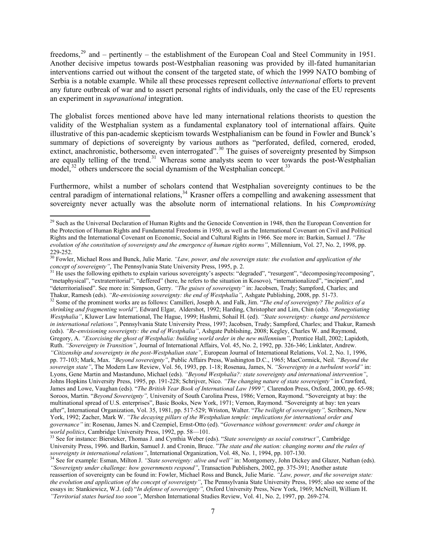freedoms,<sup>[29](#page-6-0)</sup> and – pertinently – the establishment of the European Coal and Steel Community in 1951. Another decisive impetus towards post-Westphalian reasoning was provided by ill-fated humanitarian interventions carried out without the consent of the targeted state, of which the 1999 NATO bombing of Serbia is a notable example. While all these processes represent collective *international* efforts to prevent any future outbreak of war and to assert personal rights of individuals, only the case of the EU represents an experiment in *supranational* integration.

The globalist forces mentioned above have led many international relations theorists to question the validity of the Westphalian system as a fundamental explanatory tool of international affairs. Quite illustrative of this pan-academic skepticism towards Westphalianism can be found in Fowler and Bunck's summary of depictions of sovereignty by various authors as "perforated, defiled, cornered, eroded, extinct, anachronistic, bothersome, even interrogated".<sup>[30](#page-6-1)</sup> The guises of sovereignty presented by Simpson are equally telling of the trend.<sup>[31](#page-6-2)</sup> Whereas some analysts seem to veer towards the post-Westphalian model,  $32$  others underscore the social dynamism of the Westphalian concept.<sup>[33](#page-6-4)</sup>

Furthermore, whilst a number of scholars contend that Westphalian sovereignty continues to be the central paradigm of international relations,<sup>[34](#page-6-5)</sup> Krasner offers a compelling and awakening assessment that sovereignty never actually was the absolute norm of international relations. In his *Compromising* 

<span id="page-6-0"></span><sup>&</sup>lt;sup>29</sup> Such as the Universal Declaration of Human Rights and the Genocide Convention in 1948, then the European Convention for the Protection of Human Rights and Fundamental Freedoms in 1950, as well as the International Covenant on Civil and Political Rights and the International Covenant on Economic, Social and Cultural Rights in 1966. See more in: Barkin, Samuel J. *"The evolution of the constitution of sovereignty and the emergence of human rights norms"*, Millennium, Vol. 27, No. 2, 1998, pp. 229-252.

<span id="page-6-1"></span><sup>30</sup> Fowler, Michael Ross and Bunck, Julie Marie. *"Law, power, and the sovereign state: the evolution and application of the concept of sovereignty"*, The Pennsylvania State University Press, 1995, p. 2.<br><sup>31</sup> He uses the following epithets to explain various sovereignty's aspects: "degraded", "resurgent", "decomposing/recomposing",

<span id="page-6-2"></span><sup>&</sup>quot;metaphysical", "extraterritorial", "deffered" (here, he refers to the situation in Kosovo), "internationalized", "incipient", and "deterritorialised". See more in: Simpson, Gerry. "The guises of sovereignty" in: Jacobsen, Trudy; Sampford, Charles; and<br>Thakur, Ramesh (eds). "Re-envisioning sovereignty: the end of Westphalia", Ashgate Publishing, 2008,

<span id="page-6-3"></span><sup>&</sup>lt;sup>32</sup> Some of the prominent works are as follows: Camilleri, Joseph A. and Falk, Jim. "The end of sovereignty? The politics of a *shrinking and fragmenting world",* Edward Elgar, Aldershot, 1992; Harding, Christopher and Lim, Chin (eds). *"Renegotiating Westphalia"*, Kluwer Law International, The Hague, 1999; Hashmi, Sohail H. (ed). *"State sovereignty: change and persistence in international relations"*, Pennsylvania State University Press, 1997; Jacobsen, Trudy; Sampford, Charles; and Thakur, Ramesh (eds). *"Re-envisioning sovereignty: the end of Westphalia"*, Ashgate Publishing, 2008; Kegley, Charles W. and Raymond, Gregory, A. *"Exorcising the ghost of Westphalia: building world order in the new millennium"*, Prentice Hall, 2002; Lapidoth, Ruth. *"Sovereignty in Transition"*, Journal of International Affairs, Vol. 45, No. 2, 1992, pp. 326-346; Linklater, Andrew.

*<sup>&</sup>quot;Citizenship and sovereignty in the post-Westphalian state"*, European Journal of International Relations, Vol. 2, No. 1, 1996, pp. 77-103; Mark, Max. *"Beyond sovereignty"*, Public Affairs Press, Washington D.C., 1965; MacCormick, Neil. *"Beyond the sovereign state"*, The Modern Law Review, Vol. 56, 1993, pp. 1-18; Rosenau, James, N. *"Sovereignty in a turbulent world"* in: Lyons, Gene Martin and Mastanduno, Michael (eds). *"Beyond Westphalia?: state sovereignty and international intervention"*, Johns Hopkins University Press, 1995, pp. 191-228; Schrijver, Nico. *"The changing nature of state sovereignty"* in Crawford, James and Lowe, Vaughan (eds). "*The British Year Book of International Law 1999",* Clarendon Press, Oxford, 2000, pp. 65-98; Soroos, Martin. "*Beyond Sovereignty",* University of South Carolina Press, 1986; Vernon, Raymond. "Sovereignty at bay: the multinational spread of U.S. enterprises", Basic Books, New York, 1971; Vernon, Raymond. "Sovereignty at bay: ten years after", International Organization, Vol. 35, 1981, pp. 517-529; Wriston, Walter. "*The twilight of sovereignty",* Scribners, New York, 1992; Zacher, Mark W. *"The decaying pillars of the Westphalian temple: implications for international order and governance"* in: Rosenau, James N. and Czempiel, Ernst-Otto (ed). "*Governance without government: order and change in* 

<span id="page-6-4"></span>*world politics*, Cambridge University Press, 1992, pp. 58—101.<br><sup>33</sup> See for instance: Biersteker, Thomas J. and Cynthia Weber (eds). "*State sovereignty as social construct"*, Cambridge University Press, 1996. and Barkin, Samuel J. and Cronin, Bruce. "*The state and the nation: changing norms and the rules of*  sovereignty in international relations", International Organization, Vol. 48, No. 1, 1994, pp. 107-130.<br><sup>34</sup> See for example: Esman, Milton J. "State sovereignty: alive and well" in: Montgomery, John Dickey and Glazer, Nat

<span id="page-6-5"></span>*<sup>&</sup>quot;Sovereignty under challenge: how governments respond"*, Transaction Publishers, 2002, pp. 375-391; Another astute reassertion of sovereignty can be found in: Fowler, Michael Ross and Bunck, Julie Marie. *"Law, power, and the sovereign state: the evolution and application of the concept of sovereignty"*, The Pennsylvania State University Press, 1995; also see some of the essays in: Stankiewicz, W.J. (ed) "*In defense of sovereignty",* Oxford University Press, New York, 1969; McNeill, William H. *"Territorial states buried too soon"*, Mershon International Studies Review, Vol. 41, No. 2, 1997, pp. 269-274.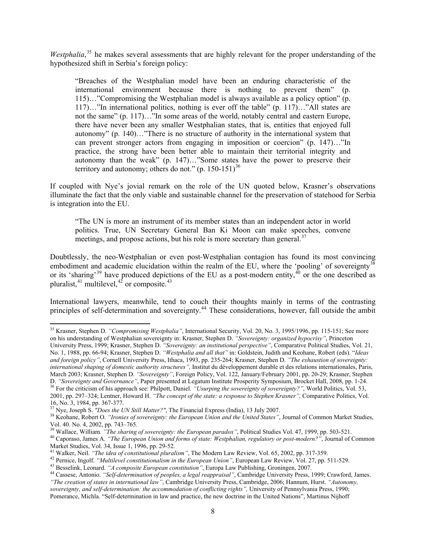Westphalia,<sup>[35](#page-7-0)</sup> he makes several assessments that are highly relevant for the proper understanding of the hypothesized shift in Serbia's foreign policy:

"Breaches of the Westphalian model have been an enduring characteristic of the international environment because there is nothing to prevent them" (p. 115)…"Compromising the Westphalian model is always available as a policy option" (p. 117)…"In international politics, nothing is ever off the table" (p. 117)…"All states are not the same" (p. 117)…"In some areas of the world, notably central and eastern Europe, there have never been any smaller Westphalian states, that is, entities that enjoyed full autonomy" (p. 140)…"There is no structure of authority in the international system that can prevent stronger actors from engaging in imposition or coercion" (p. 147)…"In practice, the strong have been better able to maintain their territorial integrity and autonomy than the weak" (p. 147)…"Some states have the power to preserve their territory and autonomy; others do not."  $(p. 150-151)^{36}$  $(p. 150-151)^{36}$  $(p. 150-151)^{36}$ 

If coupled with Nye's jovial remark on the role of the UN quoted below, Krasner's observations illuminate the fact that the only viable and sustainable channel for the preservation of statehood for Serbia is integration into the EU.

"The UN is more an instrument of its member states than an independent actor in world politics. True, UN Secretary General Ban Ki Moon can make speeches, convene meetings, and propose actions, but his role is more secretary than general.<sup>[37](#page-7-2)</sup>

Doubtlessly, the neo‐Westphalian or even post‐Westphalian contagion has found its most convincing embodiment and academic elucidation within the realm of the EU, where the 'pooling' of sovereignty<sup>[38](#page-7-3)</sup> or its 'sharing'<sup>[39](#page-7-4)</sup> have produced depictions of the EU as a post-modern entity,  $^{40}$  $^{40}$  $^{40}$  or the one described as pluralist,  $41$  multilevel,  $42$  or composite.  $43$ 

International lawyers, meanwhile, tend to couch their thoughts mainly in terms of the contrasting principles of self-determination and sovereignty.<sup>[44](#page-7-9)</sup> These considerations, however, fall outside the ambit

<span id="page-7-0"></span><sup>35</sup> Krasner, Stephen D. *"Compromising Westphalia"*, International Security, Vol. 20, No. 3, 1995/1996, pp. 115-151; See more on his understanding of Westphalian sovereignty in: Krasner, Stephen D. *"Sovereignty: organized hypocrisy"*, Princeton University Press, 1999; Krasner, Stephen D. *"Sovereignty: an institutional perspective"*, Comparative Political Studies, Vol. 21,

No. 1, 1988, pp. 66-94; Krasner, Stephen D. *"Westphalia and all that"* in: Goldstein, Judith and Keohane, Robert (eds). "*Ideas and foreign policy"*, Cornell University Press, Ithaca, 1993, pp. 235-264; Krasner, Stephen D. *"The exhaustion of sovereignty: international shaping of domestic authority structures",* Institut du développement durable et des relations internationales, Paris, March 2003; Krasner, Stephen D. *"Sovereignty"*, Foreign Policy, Vol. 122, January/February 2001, pp. 20-29; Krasner, Stephen D. *"Sovereignty and Governance"*, Paper presented at Legatum Institute Prosperity Symposium, Br D. "Sovereignty and Governance", Paper presented at Legatum Institute Prosperity Symposium, Brocket Hall, 2008, pp. 1-24.<br><sup>36</sup> For the criticism of his approach see: Philpott, Daniel. "Usurping the sovereignty of sovereign 2001, pp. 297–324; Lentner, Howard H. *"The concept of the state: a response to Stephen Krasner",* Comparative Politics, Vol.

<span id="page-7-1"></span><sup>16,</sup> No. 3, 1984, pp. 367-377.<br><sup>37</sup> Nye, Joseph S. *"Does the UN Still Matter?"*, The Financial Express (India), 13 July 2007.

<span id="page-7-3"></span><span id="page-7-2"></span><sup>&</sup>lt;sup>38</sup> Keohane, Robert O. "Ironies of sovereignty: the European Union and the United States", Journal of Common Market Studies, Vol. 40. No. 4, 2002, pp. 743–765.<br><sup>39</sup> Wallace, William. "The sharing of sovereignty: the European paradox", Political Studies Vol. 47, 1999, pp. 503-521.

<span id="page-7-5"></span><span id="page-7-4"></span><sup>&</sup>lt;sup>40</sup> Caporaso, James A. "The European Union and forms of state: Westphalian, regulatory or post-modern?", Journal of Common Market Studies, Vol. 34, Issue 1, 1996, pp. 29-52.<br><sup>41</sup> Walker, Neil. "The idea of constitutional pluralism", The Modern Law Review, Vol. 65, 2002, pp. 317-359.

<span id="page-7-9"></span>

<span id="page-7-8"></span><span id="page-7-7"></span><span id="page-7-6"></span><sup>&</sup>lt;sup>42</sup> Pernice, Ingolf. "Multilevel constitutionalism in the European Union", European Law Review, Vol. 27, pp. 511-529.<br><sup>43</sup> Besselink, Leonard. "A composite European constitution", Europa Law Publishing, Groningen, 2007.<br> *"The creation of states in international law"*, Cambridge University Press, Cambridge, 2006; Hannum, Hurst. *"Autonomy, sovereignty, and self-determination: the accommodation of conflicting rights",* University of Pennsylvania Press, 1990; Pomerance, Michla. "Self-determination in law and practice, the new doctrine in the United Nations", Martinus Nijhoff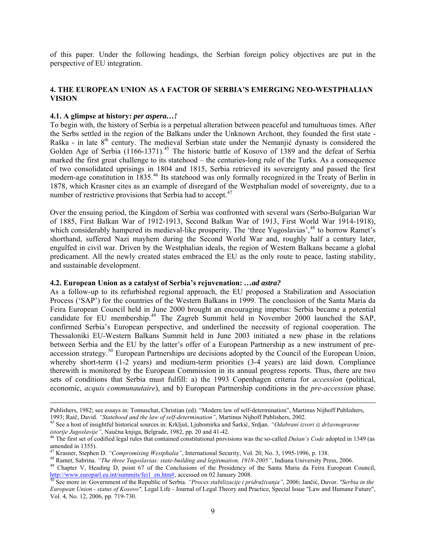of this paper. Under the following headings, the Serbian foreign policy objectives are put in the perspective of EU integration.

#### **4. THE EUROPEAN UNION AS A FACTOR OF SERBIA'S EMERGING NEO-WESTPHALIAN VISION**

#### **4.1. A glimpse at history:** *per aspera…!*

To begin with, the history of Serbia is a perpetual alteration between peaceful and tumultuous times. After the Serbs settled in the region of the Balkans under the Unknown Archont, they founded the first state - Raška - in late  $8<sup>th</sup>$  century. The medieval Serbian state under the Nemanjić dynasty is considered the Golden Age of Serbia (1166-1371).<sup>[45](#page-8-0)</sup> The historic battle of Kosovo of 1389 and the defeat of Serbia marked the first great challenge to its statehood – the centuries-long rule of the Turks. As a consequence of two consolidated uprisings in 1804 and 1815, Serbia retrieved its sovereignty and passed the first modern-age constitution in 1835.<sup>[46](#page-8-1)</sup> Its statehood was only formally recognized in the Treaty of Berlin in 1878, which Krasner cites as an example of disregard of the Westphalian model of sovereignty, due to a number of restrictive provisions that Serbia had to accept. $47$ 

Over the ensuing period, the Kingdom of Serbia was confronted with several wars (Serbo-Bulgarian War of 1885, First Balkan War of 1912-1913, Second Balkan War of 1913, First World War 1914-1918), which considerably hampered its medieval-like prosperity. The 'three Yugoslavias',<sup>[48](#page-8-3)</sup> to borrow Ramet's shorthand, suffered Nazi mayhem during the Second World War and, roughly half a century later, engulfed in civil war. Driven by the Westphalian ideals, the region of Western Balkans became a global predicament. All the newly created states embraced the EU as the only route to peace, lasting stability, and sustainable development.

#### **4.2. European Union as a catalyst of Serbia's rejuvenation:** *…ad astra?*

As a follow-up to its refurbished regional approach, the EU proposed a Stabilization and Association Process ('SAP') for the countries of the Western Balkans in 1999. The conclusion of the Santa Maria da Feira European Council held in June 2000 brought an encouraging impetus: Serbia became a potential candidate for EU membership.<sup>[49](#page-8-4)</sup> The Zagreb Summit held in November 2000 launched the SAP, confirmed Serbia's European perspective, and underlined the necessity of regional cooperation. The Thessaloniki EU-Western Balkans Summit held in June 2003 initiated a new phase in the relations between Serbia and the EU by the latter's offer of a European Partnership as a new instrument of pre-accession strategy.<sup>[50](#page-8-5)</sup> European Partnerships are decisions adopted by the Council of the European Union, whereby short-term (1-2 years) and medium-term priorities (3-4 years) are laid down. Compliance therewith is monitored by the European Commission in its annual progress reports. Thus, there are two sets of conditions that Serbia must fulfill: a) the 1993 Copenhagen criteria for *accession* (political, economic, *acquis communautaire*), and b) European Partnership conditions in the *pre-accession* phase.

<u> 1989 - Johann Stein, marwolaethau a gweledydd a ganlad y ganlad y ganlad y ganlad y ganlad y ganlad y ganlad</u>

Publishers, 1982; see essays in: Tomuschat, Christian (ed). "Modern law of self-determination", Martinus Nijhoff Publishers, 1993; Raič, David. "Statehood and the law of self-determination", Martinus Nijhoff Publishers, 20

<span id="page-8-0"></span><sup>&</sup>lt;sup>45</sup> See a host of insightful historical sources in: Krkljuš, Ljubomirka and Šarkić, Srdjan. "Odabrani izvori iz državnopravne *istorije Jugoslavije"*, Naučna knjiga, Belgrade, 1982, pp. 20 and 41-42.<br><sup>46</sup> The first set of codified legal rules that contained constitutional provisions was the so-called *Dušan's Code* adopted in 1349 (as

<span id="page-8-1"></span>amended in 1355).<br><sup>47</sup> Krasner, Stephen D. "Compromising Westphalia", International Security, Vol. 20, No. 3, 1995-1996, p. 138.

<span id="page-8-4"></span>

<span id="page-8-3"></span><span id="page-8-2"></span><sup>&</sup>lt;sup>48</sup> Ramet, Sabrina. "The three Yugoslavias: state-building and legitimation, 1918-2005", Indiana University Press, 2006.<br><sup>49</sup> Chapter V, Heading D, point 67 of the Conclusions of the Presidency of the Santa Maria da Feira [http://www.europarl.eu.int/summits/fei1\\_en.htm#,](http://www.europarl.eu.int/summits/fei1_en.htm) accessed on 02 January 2008. [50 See more in: Government of the Republic of Se](http://www.europarl.eu.int/summits/fei1_en.htm)rbia. *"Proces stabilizacije i pridruživanja"*, 2006; Jančić, Davor. *"Serbia in the* 

<span id="page-8-5"></span>*European Union - status of Kosovo",* Legal Life - Journal of Legal Theory and Practice, Special Issue "Law and Humane Future", Vol. 4, No. 12, 2006, pp. 719-730.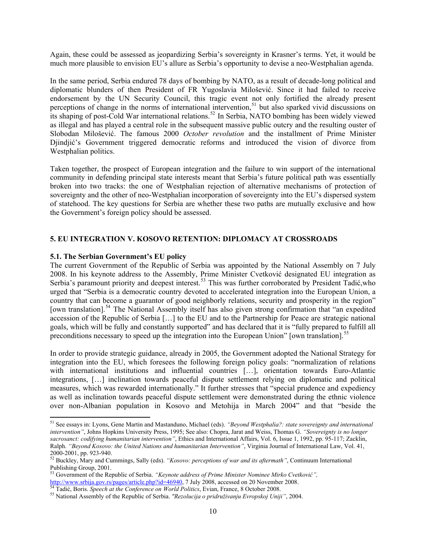Again, these could be assessed as jeopardizing Serbia's sovereignty in Krasner's terms. Yet, it would be much more plausible to envision EU's allure as Serbia's opportunity to devise a neo-Westphalian agenda.

In the same period, Serbia endured 78 days of bombing by NATO, as a result of decade-long political and diplomatic blunders of then President of FR Yugoslavia Milošević. Since it had failed to receive endorsement by the UN Security Council, this tragic event not only fortified the already present perceptions of change in the norms of international intervention,<sup>[51](#page-9-0)</sup> but also sparked vivid discussions on its shaping of post-Cold War international relations.[52](#page-9-1) In Serbia, NATO bombing has been widely viewed as illegal and has played a central role in the subsequent massive public outcry and the resulting ouster of Slobodan Milošević. The famous 2000 *October revolution* and the installment of Prime Minister Djindjić's Government triggered democratic reforms and introduced the vision of divorce from Westphalian politics.

Taken together, the prospect of European integration and the failure to win support of the international community in defending principal state interests meant that Serbia's future political path was essentially broken into two tracks: the one of Westphalian rejection of alternative mechanisms of protection of sovereignty and the other of neo-Westphalian incorporation of sovereignty into the EU's dispersed system of statehood. The key questions for Serbia are whether these two paths are mutually exclusive and how the Government's foreign policy should be assessed.

## **5. EU INTEGRATION V. KOSOVO RETENTION: DIPLOMACY AT CROSSROADS**

#### **5.1. The Serbian Government's EU policy**

The current Government of the Republic of Serbia was appointed by the National Assembly on 7 July 2008. In his keynote address to the Assembly, Prime Minister Cvetković designated EU integration as Serbia's paramount priority and deepest interest.<sup>[53](#page-9-2)</sup> This was further corroborated by President Tadić, who urged that "Serbia is a democratic country devoted to accelerated integration into the European Union, a country that can become a guarantor of good neighborly relations, security and prosperity in the region" [own translation].<sup>[54](#page-9-3)</sup> The National Assembly itself has also given strong confirmation that "an expedited" accession of the Republic of Serbia […] to the EU and to the Partnership for Peace are strategic national goals, which will be fully and constantly supported" and has declared that it is "fully prepared to fulfill all preconditions necessary to speed up the integration into the European Union" [own translation].[55](#page-9-4)

In order to provide strategic guidance, already in 2005, the Government adopted the National Strategy for integration into the EU, which foresees the following foreign policy goals: "normalization of relations with international institutions and influential countries […], orientation towards Euro-Atlantic integrations, […] inclination towards peaceful dispute settlement relying on diplomatic and political measures, which was rewarded internationally." It further stresses that "special prudence and expediency as well as inclination towards peaceful dispute settlement were demonstrated during the ethnic violence over non-Albanian population in Kosovo and Metohija in March 2004" and that "beside the

<span id="page-9-0"></span><sup>51</sup> See essays in: Lyons, Gene Martin and Mastanduno, Michael (eds). *"Beyond Westphalia?: state sovereignty and international intervention"*, Johns Hopkins University Press, 1995; See also: Chopra, Jarat and Weiss, Thomas G. *"Sovereignty is no longer sacrosanct: codifying humanitarian intervention"*, Ethics and International Affairs, Vol. 6, Issue 1, 1992, pp. 95-117; Zacklin, Ralph. *"Beyond Kosovo: the United Nations and humanitarian Intervention"*, Virginia Journal of International Law, Vol. 41, 2000-2001, pp. 923-940.

<span id="page-9-1"></span><sup>52</sup> Buckley, Mary and Cummings, Sally (eds). *"Kosovo: perceptions of war and its aftermath"*, Continuum International Publishing Group, 2001.

<span id="page-9-2"></span><sup>53</sup> Government of the Republic of Serbia. *"Keynote address of Prime Minister Nominee Mirko Cvetković",* [http://www.srbija.gov.rs/pages/article.php?id=46940,](http://www.srbija.gov.rs/pages/article.php?id=46940) 7 July 2008, accessed on 20 November 2008.<br><sup>[54](http://www.srbija.gov.rs/pages/article.php?id=46940)</sup> Tadić, Boris. *Speech at the Conference on World Politics*, Evian, France, 8 October 2008.<br><sup>55</sup> National Assembly of the

<span id="page-9-4"></span><span id="page-9-3"></span>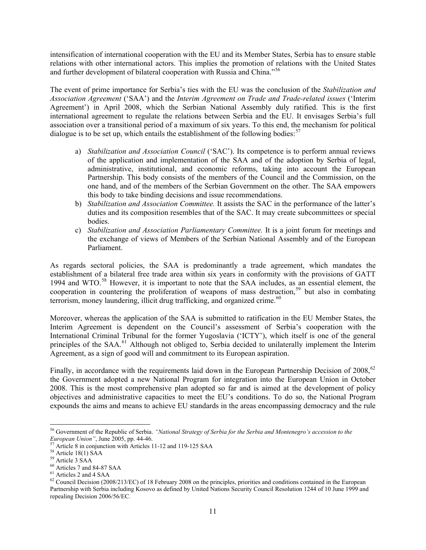intensification of international cooperation with the EU and its Member States, Serbia has to ensure stable relations with other international actors. This implies the promotion of relations with the United States and further development of bilateral cooperation with Russia and China."<sup>[56](#page-10-0)</sup>

The event of prime importance for Serbia's ties with the EU was the conclusion of the *Stabilization and Association Agreement* ('SAA') and the *Interim Agreement on Trade and Trade-related issues* ('Interim Agreement') in April 2008, which the Serbian National Assembly duly ratified. This is the first international agreement to regulate the relations between Serbia and the EU. It envisages Serbia's full association over a transitional period of a maximum of six years. To this end, the mechanism for political dialogue is to be set up, which entails the establishment of the following bodies:  $57$ 

- a) *Stabilization and Association Council* ('SAC'). Its competence is to perform annual reviews of the application and implementation of the SAA and of the adoption by Serbia of legal, administrative, institutional, and economic reforms, taking into account the European Partnership. This body consists of the members of the Council and the Commission, on the one hand, and of the members of the Serbian Government on the other. The SAA empowers this body to take binding decisions and issue recommendations.
- b) *Stabilization and Association Committee.* It assists the SAC in the performance of the latter's duties and its composition resembles that of the SAC. It may create subcommittees or special bodies.
- c) *Stabilization and Association Parliamentary Committee.* It is a joint forum for meetings and the exchange of views of Members of the Serbian National Assembly and of the European Parliament.

As regards sectoral policies, the SAA is predominantly a trade agreement, which mandates the establishment of a bilateral free trade area within six years in conformity with the provisions of GATT 1994 and WTO.<sup>[58](#page-10-2)</sup> However, it is important to note that the SAA includes, as an essential element, the cooperation in countering the proliferation of weapons of mass destruction.<sup>[59](#page-10-3)</sup> but also in combating terrorism, money laundering, illicit drug trafficking, and organized crime. $60$ 

Moreover, whereas the application of the SAA is submitted to ratification in the EU Member States, the Interim Agreement is dependent on the Council's assessment of Serbia's cooperation with the International Criminal Tribunal for the former Yugoslavia ('ICTY'), which itself is one of the general principles of the SAA.<sup>[61](#page-10-5)</sup> Although not obliged to, Serbia decided to unilaterally implement the Interim Agreement, as a sign of good will and commitment to its European aspiration.

Finally, in accordance with the requirements laid down in the European Partnership Decision of 2008,<sup>[62](#page-10-6)</sup> the Government adopted a new National Program for integration into the European Union in October 2008. This is the most comprehensive plan adopted so far and is aimed at the development of policy objectives and administrative capacities to meet the EU's conditions. To do so, the National Program expounds the aims and means to achieve EU standards in the areas encompassing democracy and the rule

<span id="page-10-0"></span><sup>56</sup> Government of the Republic of Serbia. *"National Strategy of Serbia for the Serbia and Montenegro's accession to the European Union"*, June 2005, pp. 44-46.<br><sup>57</sup> Article 8 in conjunction with Articles 11-12 and 119-125 SAA <sup>58</sup> Article 18(1) SAA

<span id="page-10-1"></span>

<span id="page-10-3"></span><span id="page-10-2"></span><sup>59</sup> Article 3 SAA

<span id="page-10-4"></span><sup>60</sup> Articles 7 and 84-87 SAA

<span id="page-10-5"></span><sup>61</sup> Articles 2 and 4 SAA

<span id="page-10-6"></span> $62$  Council Decision (2008/213/EC) of 18 February 2008 on the principles, priorities and conditions contained in the European Partnership with Serbia including Kosovo as defined by United Nations Security Council Resolution 1244 of 10 June 1999 and repealing Decision 2006/56/EC*.*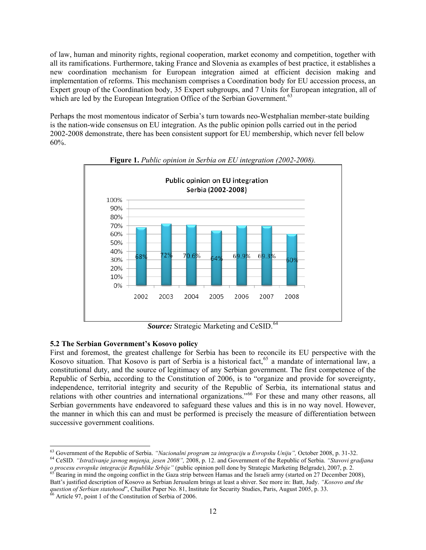of law, human and minority rights, regional cooperation, market economy and competition, together with all its ramifications. Furthermore, taking France and Slovenia as examples of best practice, it establishes a new coordination mechanism for European integration aimed at efficient decision making and implementation of reforms. This mechanism comprises a Coordination body for EU accession process, an Expert group of the Coordination body, 35 Expert subgroups, and 7 Units for European integration, all of which are led by the European Integration Office of the Serbian Government.<sup>[63](#page-11-0)</sup>

Perhaps the most momentous indicator of Serbia's turn towards neo-Westphalian member-state building is the nation-wide consensus on EU integration. As the public opinion polls carried out in the period 2002-2008 demonstrate, there has been consistent support for EU membership, which never fell below 60%.



**Figure 1.** *Public opinion in Serbia on EU integration (2002-2008).* 

**Source:** Strategic Marketing and CeSID.<sup>[64](#page-11-1)</sup>

#### **5.2 The Serbian Government's Kosovo policy**

First and foremost, the greatest challenge for Serbia has been to reconcile its EU perspective with the Kosovo situation. That Kosovo is part of Serbia is a historical fact,<sup>[65](#page-11-2)</sup> a mandate of international law, a constitutional duty, and the source of legitimacy of any Serbian government. The first competence of the Republic of Serbia, according to the Constitution of 2006, is to "organize and provide for sovereignty, independence, territorial integrity and security of the Republic of Serbia, its international status and relations with other countries and international organizations."[66](#page-11-3) For these and many other reasons, all Serbian governments have endeavored to safeguard these values and this is in no way novel. However, the manner in which this can and must be performed is precisely the measure of differentiation between successive government coalitions.

 $^{63}$  Government of the Republic of Serbia. "Nacionalni program za integraciju u Evropsku Uniju", October 2008, p. 31-32.

<span id="page-11-1"></span><span id="page-11-0"></span><sup>&</sup>lt;sup>64</sup> CeSID. "Istraživanje javnog mnjenja, jesen 2008", 2008, p. 12. and Government of the Republic of Serbia. "Stavovi gradjana o procesu evropske integracije Republike Srbije" (public opinion poll done by Strategic Marketing Belgrade), 2007, p. 2.<br><sup>65</sup> Bearing in mind the ongoing conflict in the Gaza strip between Hamas and the Israeli army (start

<span id="page-11-3"></span><span id="page-11-2"></span>Batt's justified description of Kosovo as Serbian Jerusalem brings at least a shiver. See more in: Batt, Judy. *"Kosovo and the question of Serbian statehood*", Chaillot Paper No. 81, Institute for Security Studies, Paris, August 2005, p. 33. <sup>66</sup> Article 97, point 1 of the Constitution of Serbia of 2006.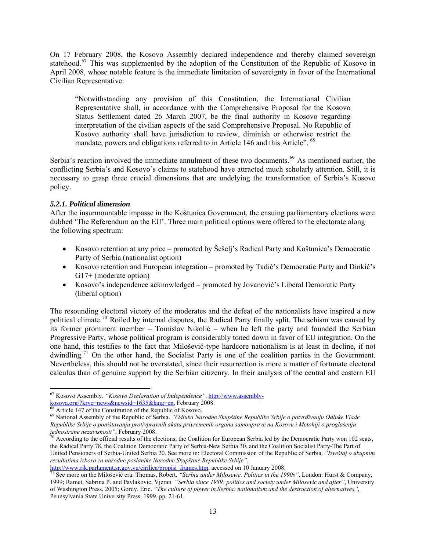On 17 February 2008, the Kosovo Assembly declared independence and thereby claimed sovereign statehood.<sup>[67](#page-12-0)</sup> This was supplemented by the adoption of the Constitution of the Republic of Kosovo in April 2008, whose notable feature is the immediate limitation of sovereignty in favor of the International Civilian Representative:

"Notwithstanding any provision of this Constitution, the International Civilian Representative shall, in accordance with the Comprehensive Proposal for the Kosovo Status Settlement dated 26 March 2007, be the final authority in Kosovo regarding interpretation of the civilian aspects of the said Comprehensive Proposal. No Republic of Kosovo authority shall have jurisdiction to review, diminish or otherwise restrict the mandate, powers and obligations referred to in Article 146 and this Article". <sup>[68](#page-12-1)</sup>

Serbia's reaction involved the immediate annulment of these two documents.<sup>[69](#page-12-2)</sup> As mentioned earlier, the conflicting Serbia's and Kosovo's claims to statehood have attracted much scholarly attention. Still, it is necessary to grasp three crucial dimensions that are undelying the transformation of Serbia's Kosovo policy.

#### *5.2.1. Political dimension*

After the insurmountable impasse in the Koštunica Government, the ensuing parliamentary elections were dubbed 'The Referendum on the EU'. Three main political options were offered to the electorate along the following spectrum:

- Kosovo retention at any price promoted by Šešelj's Radical Party and Koštunica's Democratic Party of Serbia (nationalist option)
- Kosovo retention and European integration promoted by Tadić's Democratic Party and Dinkić's G17+ (moderate option)
- Kosovo's independence acknowledged promoted by Jovanović's Liberal Demoratic Party (liberal option)

The resounding electoral victory of the moderates and the defeat of the nationalists have inspired a new political climate.<sup>[70](#page-12-3)</sup> Roiled by internal disputes, the Radical Party finally split. The schism was caused by its former prominent member – Tomislav Nikolić – when he left the party and founded the Serbian Progressive Party, whose political program is considerably toned down in favor of EU integration. On the one hand, this testifies to the fact that Milošević-type hardcore nationalism is at least in decline, if not dwindling.<sup>[71](#page-12-4)</sup> On the other hand, the Socialist Party is one of the coalition parties in the Government. Nevertheless, this should not be overstated, since their resurrection is more a matter of fortunate electoral calculus than of genuine support by the Serbian citizenry. In their analysis of the central and eastern EU

<span id="page-12-0"></span> 67 Kosovo Assembly. *"Kosovo Declaration of Independence"*, [http://www.assembly-](http://www.assembly-kosova.org/?krye=news&newsid=1635&lang=en)Rosova.org/?krye=news&newsid=1635&lang=en, February 2008.<br>
<sup>[68](http://www.assembly-kosova.org/?krye=news&newsid=1635&lang=en)</sup> Article 147 of the Constitution of the Republic of Kosovo.<br>
<sup>69</sup> National Assembly of the Republic of Serbia. *"Odluka Narodne Skupštine Republike Srbije o po* 

<span id="page-12-2"></span><span id="page-12-1"></span>*Republike Srbije o poništavanju protivpravnih akata privremenih organa samouprave na Kosovu i Metohiji o proglašenju* 

<span id="page-12-3"></span><sup>&</sup>lt;sup>1</sup> According to the official results of the elections, the Coalition for European Serbia led by the Democratic Party won 102 seats, the Radical Party 78, the Coalition Democratic Party of Serbia-New Serbia 30, and the Coalition Socialist Party-The Part of United Pensioners of Serbia-United Serbia 20. See more in: Electoral Commission of the Republic of Serbia. *"Izveštaj o ukupnim rezultatima izbora za narodne poslanike Narodne Skupštine Republike Srbije"*,

<span id="page-12-4"></span>[http://www.rik.parlament.sr.gov.yu/cirilica/propisi\\_frames.htm](http://www.rik.parlament.sr.gov.yu/cirilica/propisi_frames.htm), accessed on 10 January 2008. [71](http://www.rik.parlament.sr.gov.yu/cirilica/propisi_frames.htm) See more on the Milošević era: Thomas, Robert. *"Serbia under Milosevic. Politics in the 1990s"*, London: Hurst & Company, 1999; Ramet, Sabrina P. and Pavlakovic, Vjeran *"Serbia since 1989: politics and society under Milosevic and after"*, University of Washington Press, 2005; Gordy, Eric. *"The culture of power in Serbia: nationalism and the destruction of alternatives"*, Pennsylvania State University Press, 1999, pp. 21-61.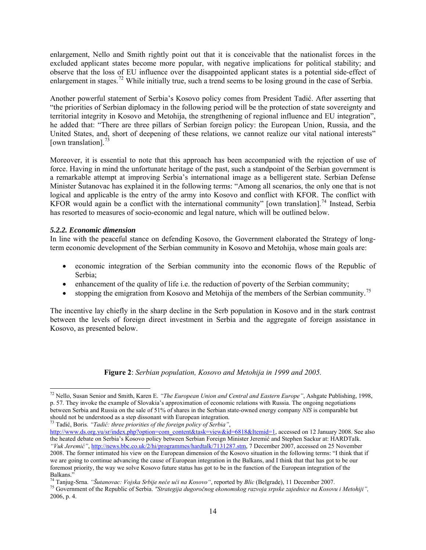enlargement, Nello and Smith rightly point out that it is conceivable that the nationalist forces in the excluded applicant states become more popular, with negative implications for political stability; and observe that the loss of EU influence over the disappointed applicant states is a potential side-effect of enlargement in stages.<sup>[72](#page-13-0)</sup> While initially true, such a trend seems to be losing ground in the case of Serbia.

Another powerful statement of Serbia's Kosovo policy comes from President Tadić. After asserting that "the priorities of Serbian diplomacy in the following period will be the protection of state sovereignty and territorial integrity in Kosovo and Metohija, the strengthening of regional influence and EU integration", he added that: "There are three pillars of Serbian foreign policy: the European Union, Russia, and the United States, and, short of deepening of these relations, we cannot realize our vital national interests" [own translation]. $^{73}$  $^{73}$  $^{73}$ 

Moreover, it is essential to note that this approach has been accompanied with the rejection of use of force. Having in mind the unfortunate heritage of the past, such a standpoint of the Serbian government is a remarkable attempt at improving Serbia's international image as a belligerent state. Serbian Defense Minister Šutanovac has explained it in the following terms: "Among all scenarios, the only one that is not logical and applicable is the entry of the army into Kosovo and conflict with KFOR. The conflict with KFOR would again be a conflict with the international community" [own translation].<sup>[74](#page-13-2)</sup> Instead, Serbia has resorted to measures of socio-economic and legal nature, which will be outlined below.

#### *5.2.2. Economic dimension*

In line with the peaceful stance on defending Kosovo, the Government elaborated the Strategy of longterm economic development of the Serbian community in Kosovo and Metohija, whose main goals are:

- economic integration of the Serbian community into the economic flows of the Republic of Serbia;
- enhancement of the quality of life i.e. the reduction of poverty of the Serbian community;
- stopping the emigration from Kosovo and Metohija of the members of the Serbian community.<sup>[75](#page-13-3)</sup>

The incentive lay chiefly in the sharp decline in the Serb population in Kosovo and in the stark contrast between the levels of foreign direct investment in Serbia and the aggregate of foreign assistance in Kosovo, as presented below.

#### **Figure 2**: *Serbian population, Kosovo and Metohija in 1999 and 2005.*

<span id="page-13-1"></span><sup>73</sup> Tadić, Boris. *"Tadić: three priorities of the foreign policy of Serbia"*,

<span id="page-13-0"></span><sup>72</sup> Nello, Susan Senior and Smith, Karen E. *"The European Union and Central and Eastern Europe"*, Ashgate Publishing, 1998, p. 57. They invoke the example of Slovakia's approximation of economic relations with Russia. The ongoing negotiations between Serbia and Russia on the sale of 51% of shares in the Serbian state-owned energy company *NIS* is comparable but

[http://www.ds.org.yu/sr/index.php?option=com\\_content&task=view&id=6818&Itemid=1,](http://www.ds.org.yu/sr/index.php?option=com_content&task=view&id=6818&Itemid=1) accessed on 12 January 2008. See also the heated debate on Serbia's Kosovo policy between Serbian Foreign Minister Jeremić and Stephen Sackur at: HARDTalk. *"Vuk Jeremić"*, [http://news.bbc.co.uk/2/hi/programmes/hardtalk/7131287.stm,](http://news.bbc.co.uk/2/hi/programmes/hardtalk/7131287.stm) 7 December 2007, accessed on 25 November 2008. The former intimated his view on the European dimension of the Kosovo situation in the following terms: "I think that if we are going to continue advancing the cause of European integration in the Balkans, and I think that that has got to be our foremost priority, the way we solve Kosovo future status has got to be in the function of the European integration of the

Balkans."<br><sup>74</sup> Tanjug-Srna. "Šutanovac: Vojska Srbije neće ući na Kosovo", reported by Blic (Belgrade), 11 December 2007.

<span id="page-13-3"></span><span id="page-13-2"></span><sup>75</sup> Government of the Republic of Serbia. "Strategija dugoročnog ekonomskog razvoja srpske zajednice na Kosovu i Metohiji", 2006, p. 4.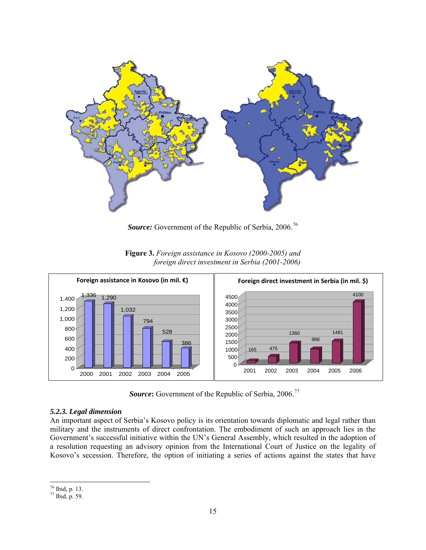

Source: Government of the Republic of Serbia, 2006.<sup>[76](#page-14-0)</sup>



**Figure 3.** *Foreign assistance in Kosovo (2000-2005) and foreign direct investment in Serbia (2001-2006)* 

**Source:** Government of the Republic of Serbia, 2006.<sup>[77](#page-14-1)</sup>

## *5.2.3. Legal dimension*

An important aspect of Serbia's Kosovo policy is its orientation towards diplomatic and legal rather than military and the instruments of direct confrontation. The embodiment of such an approach lies in the Government's successful initiative within the UN's General Assembly, which resulted in the adoption of a resolution requesting an advisory opinion from the International Court of Justice on the legality of Kosovo's secession. Therefore, the option of initiating a series of actions against the states that have

 76 Ibid, p. 13.

<span id="page-14-1"></span><span id="page-14-0"></span> $77$  Ibid, p. 59.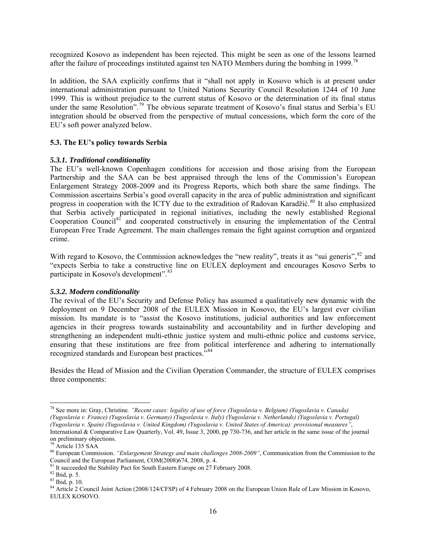recognized Kosovo as independent has been rejected. This might be seen as one of the lessons learned after the failure of proceedings instituted against ten NATO Members during the bombing in 1999.<sup>[78](#page-15-0)</sup>

In addition, the SAA explicitly confirms that it "shall not apply in Kosovo which is at present under international administration pursuant to United Nations Security Council Resolution 1244 of 10 June 1999. This is without prejudice to the current status of Kosovo or the determination of its final status under the same Resolution".<sup>[79](#page-15-1)</sup> The obvious separate treatment of Kosovo's final status and Serbia's EU integration should be observed from the perspective of mutual concessions, which form the core of the EU's soft power analyzed below.

#### **5.3. The EU's policy towards Serbia**

#### *5.3.1. Traditional conditionality*

The EU's well-known Copenhagen conditions for accession and those arising from the European Partnership and the SAA can be best appraised through the lens of the Commission's European Enlargement Strategy 2008-2009 and its Progress Reports, which both share the same findings. The Commission ascertains Serbia's good overall capacity in the area of public administration and significant progress in cooperation with the ICTY due to the extradition of Radovan Karadžić.<sup>[80](#page-15-2)</sup> It also emphasized that Serbia actively participated in regional initiatives, including the newly established Regional Cooperation Council<sup>[81](#page-15-3)</sup> and cooperated constructively in ensuring the implementation of the Central European Free Trade Agreement. The main challenges remain the fight against corruption and organized crime.

With regard to Kosovo, the Commission acknowledges the "new reality", treats it as "sui generis", <sup>[82](#page-15-4)</sup> and "expects Serbia to take a constructive line on EULEX deployment and encourages Kosovo Serbs to participate in Kosovo's development".<sup>[83](#page-15-5)</sup>

#### *5.3.2. Modern conditionality*

The revival of the EU's Security and Defense Policy has assumed a qualitatively new dynamic with the deployment on 9 December 2008 of the EULEX Mission in Kosovo, the EU's largest ever civilian mission. Its mandate is to "assist the Kosovo institutions, judicial authorities and law enforcement agencies in their progress towards sustainability and accountability and in further developing and strengthening an independent multi-ethnic justice system and multi-ethnic police and customs service, ensuring that these institutions are free from political interference and adhering to internationally recognized standards and European best practices.<sup>5[84](#page-15-6)</sup>

Besides the Head of Mission and the Civilian Operation Commander, the structure of EULEX comprises three components:

<span id="page-15-0"></span><sup>78</sup> See more in: Gray, Christine*. "Recent cases: legality of use of force (Yugoslavia v. Belgium) (Yugoslavia v. Canada) (Yugoslavia v. France) (Yugoslavia v. Germany) (Yugoslavia v. Italy) (Yugoslavia v. Netherlands) (Yugoslavia v. Portugal) (Yugoslavia v. Spain) (Yugoslavia v. United Kingdom) (Yugoslavia v. United States of America): provisional measures"*, International & Comparative Law Quarterly, Vol. 49, Issue 3, 2000, pp 730-736, and her article in the same issue of the journal on preliminary objections.

 $79$  Article 135 SAA

<span id="page-15-2"></span><span id="page-15-1"></span><sup>80</sup> European Commission. *"Enlargement Strategy and main challenges 2008-2009"*, Communication from the Commission to the

<span id="page-15-3"></span>Council and the European Parliament, COM(2008)674, 2008, p. 4. <sup>81</sup> It succeeded the Stability Pact for South Eastern Europe on 27 February 2008. <sup>82</sup> Ibid, p. 5.

<span id="page-15-5"></span><span id="page-15-4"></span><sup>83</sup> Ibid, p. 10.

<span id="page-15-6"></span><sup>&</sup>lt;sup>84</sup> Article 2 Council Joint Action (2008/124/CFSP) of 4 February 2008 on the European Union Rule of Law Mission in Kosovo, EULEX KOSOVO.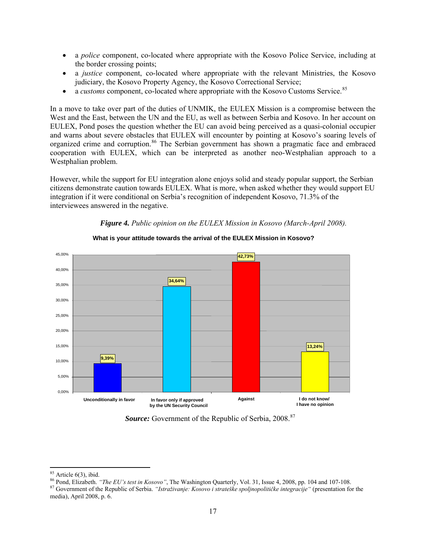- a *police* component, co-located where appropriate with the Kosovo Police Service, including at the border crossing points;
- a *justice* component, co-located where appropriate with the relevant Ministries, the Kosovo judiciary, the Kosovo Property Agency, the Kosovo Correctional Service;
- a *customs* component, co-located where appropriate with the Kosovo Customs Service.<sup>[85](#page-16-0)</sup>

In a move to take over part of the duties of UNMIK, the EULEX Mission is a compromise between the West and the East, between the UN and the EU, as well as between Serbia and Kosovo. In her account on EULEX, Pond poses the question whether the EU can avoid being perceived as a quasi-colonial occupier and warns about severe obstacles that EULEX will encounter by pointing at Kosovo's soaring levels of organized crime and corruption.<sup>[86](#page-16-1)</sup> The Serbian government has shown a pragmatic face and embraced cooperation with EULEX, which can be interpreted as another neo-Westphalian approach to a Westphalian problem.

However, while the support for EU integration alone enjoys solid and steady popular support, the Serbian citizens demonstrate caution towards EULEX. What is more, when asked whether they would support EU integration if it were conditional on Serbia's recognition of independent Kosovo, 71.3% of the interviewees answered in the negative.





 **What is your attitude towards the arrival of the EULEX Mission in Kosovo?** 

*Source:* Government of the Republic of Serbia, 2008.<sup>[87](#page-16-2)</sup>

 85 Article 6(3), ibid.

<span id="page-16-1"></span><span id="page-16-0"></span><sup>&</sup>lt;sup>86</sup> Pond, Elizabeth. "*The EU's test in Kosovo"*, The Washington Quarterly, Vol. 31, Issue 4, 2008, pp. 104 and 107-108.<br><sup>87</sup> Government of the Republic of Serbia. "*Istraživanje: Kosovo i strateške spoljnopolitičke integ* 

<span id="page-16-2"></span>media), April 2008, p. 6.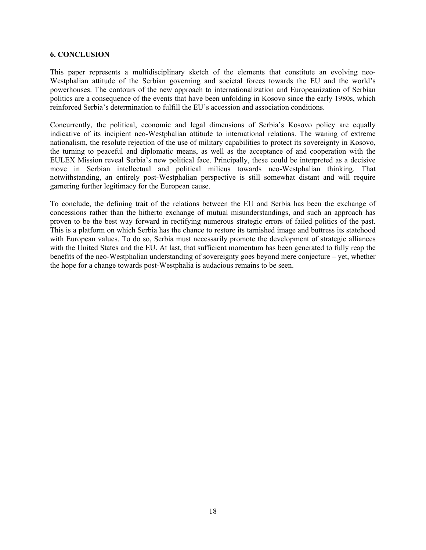#### **6. CONCLUSION**

This paper represents a multidisciplinary sketch of the elements that constitute an evolving neo-Westphalian attitude of the Serbian governing and societal forces towards the EU and the world's powerhouses. The contours of the new approach to internationalization and Europeanization of Serbian politics are a consequence of the events that have been unfolding in Kosovo since the early 1980s, which reinforced Serbia's determination to fulfill the EU's accession and association conditions.

Concurrently, the political, economic and legal dimensions of Serbia's Kosovo policy are equally indicative of its incipient neo-Westphalian attitude to international relations. The waning of extreme nationalism, the resolute rejection of the use of military capabilities to protect its sovereignty in Kosovo, the turning to peaceful and diplomatic means, as well as the acceptance of and cooperation with the EULEX Mission reveal Serbia's new political face. Principally, these could be interpreted as a decisive move in Serbian intellectual and political milieus towards neo-Westphalian thinking. That notwithstanding, an entirely post-Westphalian perspective is still somewhat distant and will require garnering further legitimacy for the European cause.

To conclude, the defining trait of the relations between the EU and Serbia has been the exchange of concessions rather than the hitherto exchange of mutual misunderstandings, and such an approach has proven to be the best way forward in rectifying numerous strategic errors of failed politics of the past. This is a platform on which Serbia has the chance to restore its tarnished image and buttress its statehood with European values. To do so, Serbia must necessarily promote the development of strategic alliances with the United States and the EU. At last, that sufficient momentum has been generated to fully reap the benefits of the neo-Westphalian understanding of sovereignty goes beyond mere conjecture – yet, whether the hope for a change towards post-Westphalia is audacious remains to be seen.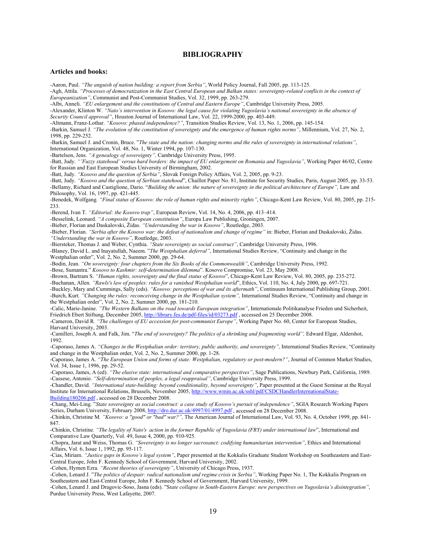#### **BIBLIOGRAPHY**

#### **Articles and books:**

-Aaron, Paul. *"The anguish of nation building: a report from Serbia"*, World Policy Journal, Fall 2005, pp. 113-125.

-Agh, Attila. *"Processes of democratization in the East Central European and Balkan states: sovereignty-related conflicts in the context of Europeanization"*, Communist and Post-Communist Studies, Vol. 32, 1999, pp. 263-279.

-Albi, Anneli. *"EU enlargement and the constitutions of Central and Eastern Europe"*, Cambridge University Press, 2005.

-Alexander, Klinton W. *"Nato's intervention in Kosovo: the legal cause for violating Yugoslavia's national sovereignty in the absence of Security Council approval"*, Houston Journal of International Law, Vol. 22, 1999-2000, pp. 403-449.

-Altmann, Franz-Lothar. *"Kosovo: phased independence?"*, Transition Studies Review, Vol. 13, No. 1, 2006, pp. 145-154.

-Barkin, Samuel J. *"The evolution of the constitution of sovereignty and the emergence of human rights norms"*, Millennium, Vol. 27, No. 2, 1998, pp. 229-252.

-Barkin, Samuel J. and Cronin, Bruce. "*The state and the nation: changing norms and the rules of sovereignty in international relations"*, International Organization, Vol. 48, No. 1, Winter 1994, pp. 107-130.

-Bartelson, Jens. *"A genealogy of sovereignty",* Cambridge University Press, 1995.

-Batt, Judy. *"'Fuzzy statehood' versus hard borders: the impact of EU enlargement on Romania and Yugoslavia"*, Working Paper 46/02, Centre for Russian and East European Studies University of Birmingham, 2002.

-Batt, Judy. *"Kosovo and the question of Serbia"*, Slovak Foreign Policy Affairs, Vol. 2, 2005, pp. 9-23.

-Batt, Judy. *"Kosovo and the question of Serbian statehood*", Chaillot Paper No. 81, Institute for Security Studies, Paris, August 2005, pp. 33-53. -Bellamy, Richard and Castiglione, Dario. "*Building the union: the nature of sovereignty in the political architecture of Europe",* Law and Philosophy, Vol. 16, 1997, pp. 421-445.

-Benedek, Wolfgang*. "Final status of Kosovo: the role of human rights and minority rights"*, Chicago-Kent Law Review, Vol. 80, 2005, pp. 215- 233.

-Berend, Ivan T. *"Editorial: the Kosovo trap"*, European Review, Vol. 14, No. 4, 2006, pp. 413–414.

-Besselink, Leonard. *"A composite European constitution"*, Europa Law Publishing, Groningen, 2007.

-Bieber, Florian and Daskalovski, Židas. *"Understanding the war in Kosovo"*, Routledge, 2003.

-Bieber, Florian. "Serbia after the Kosovo war: the defeat of nationalism and change of regime" in: Bieber, Florian and Daskalovski, Židas. *"Understanding the war in Kosovo"*, Routledge, 2003.

-Biersteker, Thomas J. and Weber, Cynthia. *"State sovereignty as social construct"*, Cambridge University Press, 1996.

-Blaney, David L. and Inayatullah, Naeem. "*The Westphalian deferral"*, International Studies Review, "Continuity and change in the Westphalian order", Vol. 2, No. 2, Summer 2000, pp. 29-64.

-Bodin, Jean. *"On sovereignty: four chapters from the Six Books of the Commonwealth"*, Cambridge University Press, 1992.

-Bose, Sumantra." *Kosovo to Kashmir: self-determination dilemma*". Kosovo Compromise, Vol. 23, May 2008.

-Brown, Bartram S. *"Human rights, sovereignty and the final status of Kosovo*", Chicago-Kent Law Review, Vol. 80, 2005, pp. 235-272. -Buchanan, Allen*. "Rawls's law of peoples: rules for a vanished Westphalian world*", Ethics, Vol. 110, No. 4, July 2000, pp. 697-721.

-Buckley, Mary and Cummings, Sally (eds). *"Kosovo: perceptions of war and its aftermath"*, Continuum International Publishing Group, 2001. -Burch, Kurt*. "Changing the rules: reconceiving change in the Westphalian system",* International Studies Review, "Continuity and change in the Westphalian order", Vol. 2, No. 2, Summer 2000, pp. 181-210.

-Calic, Marie-Janine. *"The Western Balkans on the road towards European integration"*, Internationale Politikanalyse Frieden und Sicherheit, Friedrich Ebert Stiftung, December 2005,<http://library.fes.de/pdf-files/id/03273.pdf>, accessed on 25 December 2008.

-Cameron, David R*. "The challenges of EU accession for post-communist Europe"*, Working Paper No. 60, Center for European Studies, Harvard University, 2003.

-Camilleri, Joseph A. and Falk, Jim. "*The end of sovereignty? The politics of a shrinking and fragmenting world*", Edward Elgar, Aldershot, 1992.

-Caporaso, James A. *"Changes in the Westphalian order: territory, public authority, and sovereignty",* International Studies Review, "Continuity and change in the Westphalian order, Vol. 2, No. 2, Summer 2000, pp. 1-28.

-Caporaso, James A. *"The European Union and forms of state: Westphalian, regulatory or post-modern?"*, Journal of Common Market Studies, Vol. 34, Issue 1, 1996, pp. 29-52.

-Caporaso, James, A (ed). *"The elusive state: international and comparative perspectives"*, Sage Publications, Newbury Park, California, 1989. -Cassese, Antonio. *"Self-determination of peoples, a legal reappraisal"*, Cambridge University Press, 1999.

-Chandler, David. *"International state-building: beyond conditionality, beyond sovereignty"*, Paper presented at the Guest Seminar at the Royal Institute for International Relations, Brussels, November 2005, [http://www.wmin.ac.uk/sshl/pdf/CSDCHandlerInternationalState-](http://www.wmin.ac.uk/sshl/pdf/CSDCHandlerInternationalState-Building180206.pdf)[Building180206.pdf](http://www.wmin.ac.uk/sshl/pdf/CSDCHandlerInternationalState-Building180206.pdf) , accessed on 28 December 2008.

-Chang, Mei-Ling. "*State sovereignty as social construct: a case study of Kosovo's pursuit of independence"*, SGIA Research Working Papers Series, Durham University, February 2008,<http://dro.dur.ac.uk/4997/01/4997.pdf> , accessed on 28 December 2008.

-Chinkin, Christine M*. "Kosovo: a "good" or "bad" war?",* The American Journal of International Law, Vol. 93, No. 4, October 1999, pp. 841- 847.

-Chinkin, Christine*. "The legality of Nato's action in the former Republic of Yugoslavia (FRY) under international law*", International and Comparative Law Quarterly, Vol. 49, Issue 4, 2000, pp. 910-925.

-Chopra, Jarat and Weiss, Thomas G. *"Sovereignty is no longer sacrosanct: codifying humanitarian intervention"*, Ethics and International Affairs, Vol. 6, Issue 1, 1992, pp. 95-117.

-Cias, Miriam. *"Justice gaps in Kosovo's legal system"*, Paper presented at the Kokkalis Graduate Student Workshop on Southeastern and East-Central Europe, John F. Kennedy School of Government, Harvard University, 2002.

-Cohen, Hymen Ezra. *"Recent theories of sovereignty"*, University of Chicago Press, 1937.

-Cohen, Lenard J. "*The politics of despair: radical nationalism and regime crisis in Serbia"*, Working Paper No. 1, The Kokkalis Program on Southeastern and East-Central Europe, John F. Kennedy School of Government, Harvard University, 1999.

-Cohen, Lenard J. and Dragovic-Soso, Jasna (eds). "S*tate collapse in South-Eastern Europe: new perspectives on Yugoslavia's disintegration"*, Purdue University Press, West Lafayette, 2007.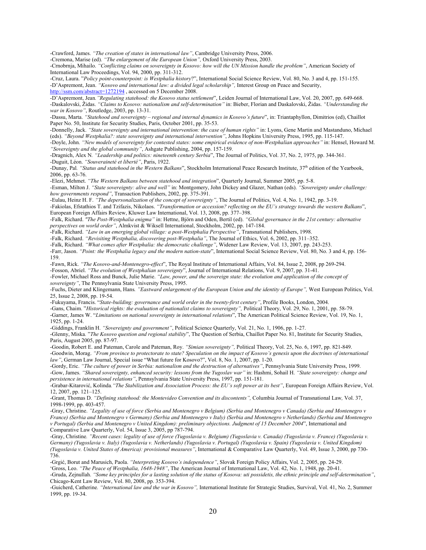-Crawford, James. *"The creation of states in international law"*, Cambridge University Press, 2006.

-Cremona, Marise (ed). *"The enlargement of the European Union",* Oxford University Press, 2003.

-Crnobrnja, Mihailo. *"Conflicting claims on sovereignty in Kosovo: how will the UN Mission handle the problem"*, American Society of International Law Proceedings, Vol. 94, 2000, pp. 311-312.

-Cruz, Laura. "*Policy point-counterpoint: is Westphalia history*?", International Social Science Review, Vol. 80, No. 3 and 4, pp. 151-155. -D'Aspremont, Jean. *"Kosovo and international law: a divided legal scholarship",* Interest Group on Peace and Security, http://ssm.com/abstract=1272194, accessed on 5 December 2008.

-D'Aspremont, Jean*."Regulating statehood: the Kosovo status settlement*", Leiden Journal of International Law, Vol. 20, 2007, pp. 649-668. -Daskalovski, Židas. *"Claims to Kosovo: nationalism and self-determination"* in: Bieber, Florian and Daskalovski, Židas. *"Understanding the war in Kosovo"*, Routledge, 2003, pp. 13-31.

-Dassu, Marta. *"Statehood and sovereignty – regional and internal dynamics in Kosovo's future*", in: Triantaphyllon, Dimitrios (ed), Chaillot Paper No. 50, Institute for Security Studies, Paris, October 2001, pp. 35-53.

-Donnelly, Jack. *"State sovereignty and international intervention: the case of human rights"* in: Lyons, Gene Martin and Mastanduno, Michael (eds). *"Beyond Westphalia?: state sovereignty and international intervention"*, Johns Hopkins University Press, 1995, pp. 115-147. -Doyle, John. *"New models of sovereignty for contested states: some empirical evidence of non-Westphalian approaches"* in: Hensel, Howard M. *"Sovereignty and the global community"*, Ashgate Publishing, 2004, pp. 157-159.

-Dragnich, Alex N*. "Leadership and politics: nineteenth century Serbia*", The Journal of Politics, Vol. 37, No. 2, 1975, pp. 344-361. -Duguit, Léon. *"Souveraineté et liberté"*, Paris, 1922.

-Dunay, Pal. "Status and statehood in the Western Balkans", Stockholm International Peace Research Institute, 37<sup>th</sup> edition of the Yearbook, 2006, pp. 63-76.

-Elezi, Mehmet. *"The Western Balkans between statehood and integration*", Quarterly Journal, Summer 2005, pp. 5-8. -Esman, Milton J. *"State sovereignty: alive and well"* in: Montgomery, John Dickey and Glazer, Nathan (eds). *"Sovereignty under challenge: how governments respond"*, Transaction Publishers, 2002, pp. 375-391.

-Eulau, Heinz H. F. *"The depersonalization of the concept of sovereignty"*, The Journal of Politics, Vol. 4, No. 1, 1942, pp. 3-19.

-Fakiolas, Efstathios T. and Tzifazis, Nikolaos. *"Transformation or accession? reflecting on the EU's strategy towards the western Balkans*", European Foreign Affairs Review, Kluwer Law International, Vol. 13, 2008, pp. 377–398.

-Falk, Richard. *"The Post-Westphalia enigma"* in: Hettne, Björn and Oden, Bertil (ed). *"Global governance in the 21st century: alternative perspectives on world order"*, Almkvist & Wiksell International, Stockholm, 2002, pp. 147-184.

-Falk, Richard. *"Law in an emerging global village: a post-Westphalia Perspective"*, Transnational Publishers, 1998.

-Falk, Richard. *"Revisiting Westphalia, discovering post-Westphalia"*, The Journal of Ethics, Vol. 6, 2002, pp. 311–352.

-Falk, Richard. *"What comes after Westphalia: the democratic challenge"*, Widener Law Review, Vol. 13, 2007, pp. 243-253.

-Farr, Jason. *"Point: the Westphalia legacy and the modern nation-state*", International Social Science Review, Vol. 80, No. 3 and 4, pp. 156- 159.

-Fawn, Rick. *"The Kosovo-and-Montenegro-effect*", The Royal Institute of International Affairs, Vol. 84, Issue 2, 2008, pp 269-294.

-Fosson, Abriel. *"The evolution of Westphalian sovereignty*", Journal of International Relations, Vol. 9, 2007, pp. 31-41.

-Fowler, Michael Ross and Bunck, Julie Marie. *"Law, power, and the sovereign state: the evolution and application of the concept of sovereignty"*, The Pennsylvania State University Press, 1995.

-Fuchs, Dieter and Klingemann, Hans*. "Eastward enlargement of the European Union and the identity of Europe",* West European Politics, Vol. 25, Issue 2, 2008, pp. 19-54.

-Fukuyama, Francis. "*State-building: governance and world order in the twenty-first century"*, Profile Books, London, 2004.

-Gans, Chaim. "*Historical rights: the evaluation of nationalist claims to sovereignty",* Political Theory, Vol. 29, No. 1, 2001, pp. 58-79. -Garner, James W. "*Limitations on national sovereignty in international relations*", The American Political Science Review, Vol. 19, No. 1, 1925, pp. 1-24.

-Giddings, Franklin H. *"Sovereignty and government"*, Political Science Quarterly, Vol. 21, No. 1, 1906, pp. 1-27.

-Glenny, Miska*.* "*The Kosovo question and regional stability*", The Question of Serbia, Chaillot Paper No. 81, Institute for Security Studies, Paris, August 2005, pp. 87-97.

-Goodin, Robert E. and Pateman, Carole and Pateman, Roy. *"Simian sovereignty",* Political Theory, Vol. 25, No. 6, 1997, pp. 821-849. -Goodwin, Morag. *"From province to protectorate to state? Speculation on the impact of Kosovo's genesis upon the doctrines of international law"*, German Law Journal, Special issue "What future for Kosovo?", Vol. 8, No. 1, 2007, pp. 1-20.

-Gordy, Eric. *"The culture of power in Serbia: nationalism and the destruction of alternatives"*, Pennsylvania State University Press, 1999. -Gow, James. *"Shared sovereignty, enhanced security: lessons from the Yugoslav war"* in: Hashmi, Sohail H. *"State sovereignty: change and persistence in international relations"*, Pennsylvania State University Press, 1997, pp. 151-181.

-Grabar-Kitarović, Kolinda*."The Stabilization and Association Process: the EU's soft power at its best"*, European Foreign Affairs Review, Vol. 12, 2007, pp. 121–125.

-Grant, Thomas D. *"Defining statehood: the Montevideo Convention and its discontents",* Columbia Journal of Transnational Law*,* Vol. 37, 1998-1999, pp. 403-457.

-Gray, Christine. *"Legality of use of force (Serbia and Montenegro v Belgium) (Serbia and Montenegro v Canada) (Serbia and Montenegro v France) (Serbia and Montenegro v Germany) (Serbia and Montenegro v Italy) (Serbia and Montenegro v Netherlands) (Serbia and Montenegro v Portugal) (Serbia and Montenegro v United Kingdom): preliminary objections. Judgment of 15 December 2004*", International and Comparative Law Quarterly, Vol. 54, Issue 3, 2005, pp 787-794.

-Gray, Christine*. "Recent cases: legality of use of force (Yugoslavia v. Belgium) (Yugoslavia v. Canada) (Yugoslavia v. France) (Yugoslavia v. Germany) (Yugoslavia v. Italy) (Yugoslavia v. Netherlands) (Yugoslavia v. Portugal) (Yugoslavia v. Spain) (Yugoslavia v. United Kingdom) (Yugoslavia v. United States of America): provisional measures"*, International & Comparative Law Quarterly, Vol. 49, Issue 3, 2000, pp 730- 736.

-Grgić, Borut and Marusich, Paola. *"Interpreting Kosovo's independence"*, Slovak Foreign Policy Affairs, Vol. 2, 2005, pp. 24-29.

'Gross, Leo. *"The Peace of Westphalia, 1648-1948"*, The American Journal of International Law, Vol. 42, No. 1, 1948, pp. 20-41.

-Gruda, Zejnullah. *"Some key principles for a lasting solution of the status of Kosova: uti possidetis, the ethnic principle and self-determination"*, Chicago-Kent Law Review, Vol. 80, 2008, pp. 353-394.

-Guicherd, Catherine*. "International law and the war in Kosovo",* International Institute for Strategic Studies, Survival, Vol. 41, No. 2, Summer 1999, pp. 19-34.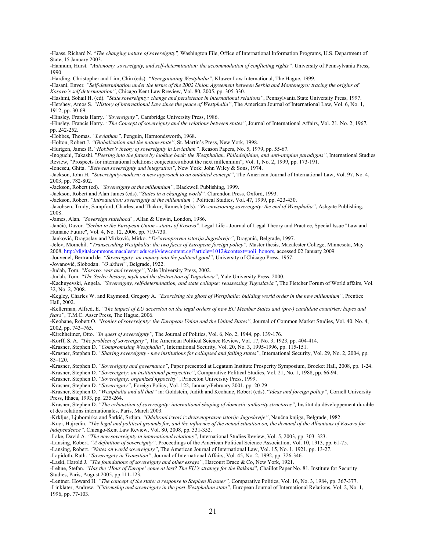-Haass, Richard N. *"The changing nature of sovereignty",* Washington File, Office of International Information Programs, U.S. Department of State, 15 January 2003.

-Hannum, Hurst. "Autonomy, sovereignty, and self-determination: the accommodation of conflicting rights", University of Pennsylvania Press, 1990.

-Harding, Christopher and Lim, Chin (eds). *"Renegotiating Westphalia"*, Kluwer Law International, The Hague, 1999.

-Hasani, Enver*. "Self-determination under the terms of the 2002 Union Agreement between Serbia and Montenegro: tracing the origins of Kosovo's self determination"*, Chicago Kent Law Rreview, Vol. 80, 2005, pp. 305-330.

-Hashmi, Sohail H. (ed). *"State sovereignty: change and persistence in international relations"*, Pennsylvania State University Press, 1997.

-Hershey, Amos S. *"History of international Law since the peace of Westphalia"*, The American Journal of International Law, Vol. 6, No. 1, 1912, pp. 30-69.

-Hinsley, Francis Harry. *"Sovereignty",* Cambridge University Press, 1986.

-Hinsley, Francis Harry. *"The Concept of sovereignty and the relations between states"*, Journal of International Affairs, Vol. 21, No. 2, 1967, pp. 242-252.

-Hobbes, Thomas. *"Leviathan",* Penguin, Harmondsworth, 1968.

-Holton, Robert J. *"Globalization and the nation-state"*, St. Martin's Press, New York, 1998.

-Hurtgen, James R. "*Hobbes's theory of sovereignty in Leviathan",* Reason Papers, No. 5, 1979, pp. 55-67.

-Inoguchi, Takashi. "*Peering into the future by looking back: the Westphalian, Philadelphian, and anti-utopian paradigms"*, International Studies Review, "Prospects for international relations: conjectures about the next millennium", Vol. 1, No. 2, 1999, pp. 173-191.

-Ionescu, Ghita. *"Between sovereignty and integration"*, New York: John Wiley & Sons, 1974.

-Jackson, John H*. "Sovereignty-modern: a new approach to an outdated concept"*, The American Journal of International Law, Vol. 97, No. 4, 2003, pp. 782-802.

-Jackson, Robert (ed). *"Sovereignty at the millennium"*, Blackwell Publishing, 1999.

-Jackson, Robert and Alan James (eds). "*States in a changing world",* Clarendon Press, Oxford, 1993.

-Jackson, Robert. *"Introduction: sovereignty at the millennium",* Political Studies, Vol. 47, 1999, pp. 423-430.

-Jacobsen, Trudy; Sampford, Charles; and Thakur, Ramesh (eds). *"Re-envisioning sovereignty: the end of Westphalia"*, Ashgate Publishing, 2008.

-James, Alan. *"Sovereign statehood"*, Allan & Unwin, London, 1986.

-Jančić, Davor. *"Serbia in the European Union - status of Kosovo",* Legal Life - Journal of Legal Theory and Practice, Special Issue "Law and Humane Future", Vol. 4, No. 12, 2006, pp. 719-730.

-Janković, Dragoslav and Mirković, Mirko. *"Državnopravna istorija Jugoslavije"*, Draganić, Belgrade, 1997.

-Jelev, Momchil. *"Transcending Westphalia: the two faces of European foreign policy",* Master thesis, Macalester College, Minnesota, May 2008, [http://digitalcommons.macalester.edu/cgi/viewcontent.cgi?article=1012&context=poli\\_honors](http://digitalcommons.macalester.edu/cgi/viewcontent.cgi?article=1012&context=poli_honors), accessed 02 January 2009.

-Jouvenel, Bertrand de. *"Sovereignty: an inquiry into the political good"*, University of Chicago Press, 1957.

-Jovanović, Slobodan. *"O državi"*, Belgrade, 1922.

-Judah, Tom. *"Kosovo: war and revenge"*, Yale University Press, 2002.

-Judah, Tom. *"The Serbs: history, myth and the destruction of Yugoslavia"*, Yale University Press, 2000.

-Kachuyevski, Angela. *"Sovereignty, self-determination, and state collapse: reassessing Yugoslavia"*, The Fletcher Forum of World affairs, Vol. 32, No. 2, 2008.

-Kegley, Charles W. and Raymond, Gregory A. *"Exorcising the ghost of Westphalia: building world order in the new millennium"*, Prentice Hall, 2002.

-Kellerman, Alfred, E. *"The impact of EU accession on the legal orders of new EU Member States and (pre-) candidate countries: hopes and fears"*, [T.M.C. Asser Press](javascript:open_window(%22http://aleph.library.uu.nl:80/F/GFQJLG4H8LRGYELMVE4CIEGYE79IVFET7YL9X6XM5MV8B2JE57-02405?func=service&doc_number=002153292&line_number=0010&service_type=TAG%22);), The Hague, 2006.

-Keohane, Robert O. *"Ironies of sovereignty: the European Union and the United States"*, Journal of Common Market Studies, Vol. 40. No. 4, 2002, pp. 743–765.

-Kirchheimer, Otto. *"In quest of sovereignty",* The Journal of Politics, Vol. 6, No. 2, 1944, pp. 139-176.

-Korff, S. A*. "The problem of sovereignty"*, The American Political Science Review, Vol. 17, No. 3, 1923, pp. 404-414.

-Krasner, Stephen D. *"Compromising Westphalia"*, International Security, Vol. 20, No. 3, 1995-1996, pp. 115-151.

-Krasner, Stephen D. *"Sharing sovereignty - new institutions for collapsed and failing states"*, International Security, Vol. 29, No. 2, 2004, pp. 85–120.

-Krasner, Stephen D. *"Sovereignty and governance"*, Paper presented at Legatum Institute Prosperity Symposium, Brocket Hall, 2008, pp. 1-24.

-Krasner, Stephen D. *"Sovereignty: an institutional perspective"*, Comparative Political Studies, Vol. 21, No. 1, 1988, pp. 66-94.

-Krasner, Stephen D. *"Sovereignty: organized hypocrisy"*, Princeton University Press, 1999.

-Krasner, Stephen D. *"Sovereignty"*, Foreign Policy, Vol. 122, January/February 2001, pp. 20-29.

-Krasner, Stephen D. *"Westphalia and all that"* in: Goldstein, Judith and Keohane, Robert (eds). "*Ideas and foreign policy"*, Cornell University Press, Ithaca, 1993, pp. 235-264.

-Krasner, Stephen D. "The exhaustion of sovereignty: international shaping of domestic authority structures", Institut du développement durable et des relations internationales, Paris, March 2003.

-Krkljuš, Ljubomirka and Šarkić, Srdjan. *"Odabrani izvori iz državnopravne istorije Jugoslavije"*, Naučna knjiga, Belgrade, 1982.

-Kuçi, Hajredin. *"The legal and political grounds for, and the influence of the actual situation on, the demand of the Albanians of Kosovo for independence",* Chicago-Kent Law Review, Vol. 80, 2008, pp. 331-352.

-Lake, David A*. "The new sovereignty in international relations"*, International Studies Review, Vol. 5, 2003, pp. 303–323.

-Lansing, Robert*. "A definition of sovereignty",* Proceedings of the American Political Science Association, Vol. 10, 1913, pp. 61-75.

-Lansing, Robert*. "Notes on world sovereignty"*, The American Journal of International Law, Vol. 15, No. 1, 1921, pp. 13-27.

-Lapidoth, Ruth. *"Sovereignty in Transition"*, Journal of International Affairs, Vol. 45, No. 2, 1992, pp. 326-346.

-Laski, Harold J. *"The foundations of sovereignty and other essays"*, Harcourt Brace & Co, New York, 1921.

-Lehne, Stefan. *"Has the 'Hour of Europe' come at last? The EU's strategy for the Balkans*", Chaillot Paper No. 81, Institute for Security Studies, Paris, August 2005, pp.111-123.

-Lentner, Howard H. *"The concept of the state: a response to Stephen Krasner",* Comparative Politics, Vol. 16, No. 3, 1984, pp. 367-377. -Linklater, Andrew. *"Citizenship and sovereignty in the post-Westphalian state"*, European Journal of International Relations, Vol. 2, No. 1, 1996, pp. 77-103.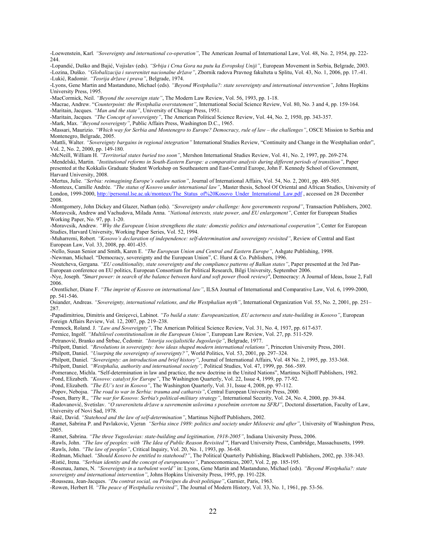-Loewenstein, Karl*. "Sovereignty and international co-operation"*, The American Journal of International Law, Vol. 48, No. 2, 1954, pp. 222- 244.

-Lopandić, Duško and Bajić, Vojislav (eds). *"Srbija i Crna Gora na putu ka Evropskoj Uniji"*, European Movement in Serbia, Belgrade, 2003. -Lozina, Duško. *"Globalizacija i suverenitet nacionalne države"*, Zbornik radova Pravnog fakulteta u Splitu, Vol. 43, No. 1, 2006, pp. 17.-41. -Lukić, Radomir. *"Teorija države i prava"*, Belgrade, 1974.

-Lyons, Gene Martin and Mastanduno, Michael (eds). *"Beyond Westphalia?: state sovereignty and international intervention"*, Johns Hopkins University Press, 1995.

-MacCormick, Neil. *"Beyond the sovereign state"*, The Modern Law Review, Vol. 56, 1993, pp. 1-18.

-Macrae, Andrew. "*Counterpoint: the Westphalia overstatement"*, International Social Science Review, Vol. 80, No. 3 and 4, pp. 159-164. -Maritain, Jacques. *"Man and the state"*, University of Chicago Press, 1951.

-Maritain, Jacques*. "The Concept of sovereignty"*, The American Political Science Review, Vol. 44, No. 2, 1950, pp. 343-357.

-Mark, Max. *"Beyond sovereignty"*, Public Affairs Press, Washington D.C., 1965.

-Massari, Maurizio. *"Which way for Serbia and Montenegro to Europe? Democracy, rule of law – the challenges"*, OSCE Mission to Serbia and Montenegro, Belgrade, 2005.

-Mattli, Walter. *"Sovereignty bargains in regional integration"* International Studies Review, "Continuity and Change in the Westphalian order", Vol. 2, No. 2, 2000, pp. 149-180.

-McNeill, William H. *"Territorial states buried too soon"*, Mershon International Studies Review, Vol. 41, No. 2, 1997, pp. 269-274. -Mendelski, Martin. *"Institutional reforms in South-Eastern Europe: a comparative analysis during different periods of transition"*, Paper presented at the Kokkalis Graduate Student Workshop on Southeastern and East-Central Europe, John F. Kennedy School of Government, Harvard University, 2008.

-Mertus, Julie. *"Serbia: reimagining Europe's outlaw nation"*, Journal of International Affairs, Vol. 54, No. 2, 2001, pp. 489-505. -Monteux, Camille Andrée. *"The status of Kosovo under international law"*, Master thesis, School Of Oriental and African Studies, University of London, 1999-2000, [http://personal.lse.ac.uk/monteux/The\\_Status\\_of%20Kosovo\\_Under\\_International\\_Law.pdf](http://personal.lse.ac.uk/monteux/The_Status_of%20Kosovo_Under_International_Law.pdf), accessed on 28 December 2008.

-Montgomery, John Dickey and Glazer, Nathan (eds). *"Sovereignty under challenge: how governments respond"*, Transaction Publishers, 2002. -Moravcsik, Andrew and Vachudova, Milada Anna. *"National interests, state power, and EU enlargement"*, Center for European Studies Working Paper, No. 97, pp. 1-20.

-Moravcsik, Andrew. *"Why the European Union strengthens the state: domestic politics and international cooperation"*, Center for European Studies, Harvard University, Working Paper Series, Vol. 52, 1994.

-Muharremi, Robert. *"Kosovo's declaration of independence: self-determination and sovereignty revisited"*, Review of Central and East European Law, Vol. 33, 2008, pp. 401-435.

-Nello, Susan Senior and Smith, Karen E. *"The European Union and Central and Eastern Europe"*, Ashgate Publishing, 1998.

-Newman, Michael. "Democracy, sovereignty and the European Union", C. Hurst & Co. Publishers, 1996. -Noutcheva, Gergana. *"EU conditionality, state sovereignty and the compliance patterns of Balkan states"*, Paper presented at the 3rd Pan-

European conference on EU politics, European Consortium for Political Research, Bilgi University, September 2006.

-Nye, Joseph. *"Smart power: in search of the balance between hard and soft power (book review)"*, Democracy: A Journal of Ideas, Issue 2, Fall 2006.

-Orentlicher, Diane F. *"The imprint of Kosovo on international law"*, ILSA Journal of International and Comparative Law, Vol. 6, 1999-2000, pp. 541-546.

Osiander, Andreas. *"Sovereignty, international relations, and the Westphalian myth"*, International Organization Vol. 55, No. 2, 2001, pp. 251– 287.

-Papadimitriou, Dimitris and Greiçevci, Labinot. *"To build a state: Europeanization, EU actorness and state-building in Kosovo"*, European Foreign Affairs Review, Vol. 12, 2007, pp. 219–238.

-Pennock, Roland. J. *"Law and Sovereignty"*, The American Political Science Review, Vol. 31, No. 4, 1937, pp. 617-637.

-Pernice, Ingolf. *"Multilevel constitutionalism in the European Union"*, European Law Review, Vol. 27, pp. 511-529.

-Petranović, Branko and Štrbac, Čedomir. *"Istorija socijalističke Jugoslavije"*, Belgrade, 1977.

-Philpott, Daniel. *"Revolutions in sovereignty: how ideas shaped modern international relations"*, Princeton University Press, 2001.

-Philpott, Daniel. *"Usurping the sovereignty of sovereignty?"*, World Politics, Vol. 53, 2001, pp. 297–324.

-Philpott, Daniel. *"Sovereignty: an introduction and brief history"*, Journal of International Affairs, Vol. 48 No. 2, 1995, pp. 353-368.

-Philpott, Daniel. *"Westphalia, authority and international society",* Political Studies, Vol. 47, 1999, pp. 566.-589.

-Pomerance, Michla. "Self-determination in law and practice, the new doctrine in the United Nations", Martinus Nijhoff Publishers, 1982.

-Pond, Elizabeth. *"Kosovo: catalyst for Europe"*, The Washington Quarterly, Vol. 22, Issue 4, 1999, pp. 77-92.

-Pond, Elizabeth. *"The EU's test in Kosovo"*, The Washington Quarterly, Vol. 31, Issue 4, 2008, pp. 97-112.

-Popov, Nebojsa. *"The road to war in Serbia: trauma and catharsis"*, Central European University Press, 2000.

-Posen, Barry R., *"The war for Kosovo: Serbia's political-military strategy"*, International Security, Vol. 24, No. 4, 2000, pp. 39-84.

-Radovanović, Svetislav. *"O suverenitetu države u savremenim uslovima s posebnim osvrtom na SFRJ"*, Doctoral dissertation, Faculty of Law, University of Novi Sad, 1978.

-Raič, David. *"Statehood and the law of self-determination"*, Martinus Nijhoff Publishers, 2002.

-Ramet, Sabrina P. and Pavlakovic, Vjeran *"Serbia since 1989: politics and society under Milosevic and after"*, University of Washington Press, 2005.

-Ramet, Sabrina. *"The three Yugoslavias: state-building and legitimation, 1918-2005"*, Indiana University Press, 2006.

-Rawls, John. *"The law of peoples: with 'The Idea of Public Reason Revisited'"*, Harvard University Press, Cambridge, Massachusetts, 1999. -Rawls, John. *"The law of peoples"*, Critical Inquiry, Vol. 20, No. 1, 1993, pp. 36-68.

-Redman, Michael. *"Should Kosovo be entitled to statehood?"*, The Political Quarterly Publishing, Blackwell Publishers, 2002, pp. 338-343.

-Ristić, Irena. *"Serbian identity and the concept of europeanness"*, Panoeconomicus, 2007, Vol. 2, pp. 185-195.

-Rosenau, James, N. *"Sovereignty in a turbulent world"* in: Lyons, Gene Martin and Mastanduno, Michael (eds). *"Beyond Westphalia?: state sovereignty and international intervention"*, Johns Hopkins University Press, 1995, pp. 191-228.

-Rousseau, Jean-Jacques. *"Du contrat social, ou Principes du droit politique"*, Garnier, Paris, 1963.

-Rowen, Herbert H. *"The peace of Westphalia revisited"*, The Journal of Modern History, Vol. 33, No. 1, 1961, pp. 53-56.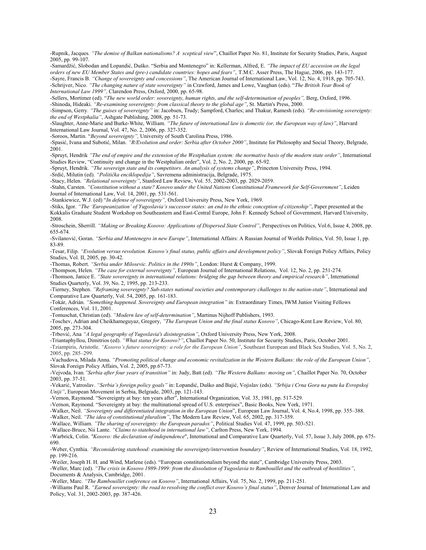-Rupnik, Jacques*. "The demise of Balkan nationalisms? A sceptical view*", Chaillot Paper No. 81, Institute for Security Studies, Paris, August 2005, pp. 99-107.

-Samardžić, Slobodan and Lopandić, Duško. "Serbia and Montenegro" in: Kellerman, Alfred, E. *"The impact of EU accession on the legal orders of new EU Member States and (pre-) candidate countries: hopes and fears"*, [T.M.C. Asser Press](javascript:open_window(%22http://aleph.library.uu.nl:80/F/GFQJLG4H8LRGYELMVE4CIEGYE79IVFET7YL9X6XM5MV8B2JE57-02405?func=service&doc_number=002153292&line_number=0010&service_type=TAG%22);), The Hague, 2006, pp. 143-177.

-Sayre, Francis B. *"Change of sovereignty and concessions"*, The American Journal of International Law, Vol. 12, No. 4, 1918, pp. 705-743. -Schrijver, Nico. *"The changing nature of state sovereignty"* in Crawford, James and Lowe, Vaughan (eds). "*The British Year Book of International Law 1999",* Clarendon Press, Oxford, 2000, pp. 65-98.

-Sellers, Mortimer (ed). "The new world order: sovereignty, human rights, and the self-determination of peoples", Berg, Oxford, 1996. -Shinoda, Hideaki. *"Re-examining sovereignty: from classical theory to the global age"*, St. Martin's Press, 2000.

-Simpson, Gerry. *"The guises of sovereignty"* in: Jacobsen, Trudy; Sampford, Charles; and Thakur, Ramesh (eds). *"Re-envisioning sovereignty: the end of Westphalia"*, Ashgate Publishing, 2008, pp. 51-73.

-Slaughter, Anne-Marie and Burke-White, William*. "The future of international law is domestic (or, the European way of law)"*, Harvard International Law Journal, Vol. 47, No. 2, 2006, pp. 327-352.

-Soroos, Martin. "*Beyond sovereignty",* University of South Carolina Press, 1986.

-Spasić, Ivana and Subotić, Milan. *"R/Evolution and order: Serbia after October 2000"*, Institute for Philosophy and Social Theory, Belgrade, 2001.

-Spruyt, Hendrik *"The end of empire and the extension of the Westphalian system: the normative basis of the modern state order"*, International Studies Review, "Continuity and change in the Westphalian order", Vol. 2, No. 2, 2000, pp. 65-92.

-Spruyt, Hendrik. *"The sovereign state and its competitors. An analysis of systems change"*, Princeton University Press, 1994.

-Srdić, Milutin (ed). *"Politička enciklopedija"*, Savremena administracija, Belgrade, 1975.

-Stacy, Helen. *"Relational sovereignty"*, Stanford Law Review, Vol. 55, 2002-2003, pp. 2029-2059.

-Stahn, Carsten. *"Constitution without a state? Kosovo under the United Nations Constitutional Framework for Self-Government"*, Leiden Journal of International Law, Vol. 14, 2001, pp. 531-561.

-Stankiewicz, W.J. (ed) "*In defense of sovereignty",* Oxford University Press, New York, 1969.

-Stiks, Igor. *"The 'Europeanization' of Yugoslavia's successor states: an end to the ethnic conception of citizenship"*, Paper presented at the Kokkalis Graduate Student Workshop on Southeastern and East-Central Europe, John F. Kennedy School of Government, Harvard University, 2008.

-Stroschein, Sherrill. *"Making or Breaking Kosovo: Applications of Dispersed State Control"*, Perspectives on Politics, Vol.6, Issue 4, 2008, pp. 655-674.

-Svilanović, Goran. *"Serbia and Montenegro in new Europe"*, International Affairs: A Russian Journal of Worlds Politics, Vol. 50, Issue 1, pp. 83-89.

-Tesar, Filip. *"Evolution versus revolution. Kosovo's final status, public affairs and development policy"*, Slovak Foreign Policy Affairs, Policy Studies, Vol. II, 2005, pp. 30-42.

-Thomas, Robert. *"Serbia under Milosevic. Politics in the 1990s"*, London: Hurst & Company, 1999.

-Thompson, Helen. *"The case for external sovereignty"*, European Journal of International Relations, Vol. 12, No. 2, pp. 251-274.

-Thomson, Janice E. *"State sovereignty in international relations: bridging the gap between theory and empirical research"*, International Studies Quarterly, Vol. 39, No. 2, 1995, pp. 213-233.

-Tierney, Stephen. *"Reframing sovereignty? Sub-states national societies and contemporary challenges to the nation-state"*, International and Comparative Law Quarterly, Vol. 54, 2005, pp. 161-183.

-Tokár, Adrián. *"Something happened. Sovereignty and European integration"* in: Extraordinary Times, IWM Junior Visiting Fellows Conferences, Vol. 11, 2001.

-Tomuschat, Christian (ed). *"Modern law of self-determination"*, Martinus Nijhoff Publishers, 1993.

-Toschev, Adrian and Cheikhameguyaz, Gregory, *"The European Union and the final status Kosovo"*, Chicago-Kent Law Review, Vol. 80, 2005, pp. 273-304.

-Trbović, Ana *"A legal geography of Yugoslavia's disintegration"*, Oxford University Press, New York, 2008.

-Triantaphyllou, Dimitrios (ed). *"What status for Kosovo?"*, Chaillot Paper No. 50, Institute for Security Studies, Paris, October 2001.

-Tziampiris, Aristotle. *"Kosovo's future sovereignty: a role for the European Union"*, Southeast European and Black Sea Studies, Vol. 5, No. 2, 2005, pp. 285–299.

-Vachudova, Milada Anna. *"Promoting political change and economic revitalization in the Western Balkans: the role of the European Union"*, Slovak Foreign Policy Affairs, Vol. 2, 2005, pp.67-73.

-Vejvoda, Ivan*."Serbia after four years of transition"* in: Judy, Batt (ed). *"The Western Balkans: moving on"*, Chaillot Paper No. 70, October 2003, pp. 37-51.

-Vekarić, Vatroslav. *"Serbia's foreign policy goals"* in: Lopandić, Duško and Bajić, Vojislav (eds). *"Srbija i Crna Gora na putu ka Evropskoj Uniji"*, European Movement in Serbia, Belgrade, 2003, pp. 121-143.

-Vernon, Raymond. "Sovereignty at bay: ten years after", International Organization, Vol. 35, 1981, pp. 517-529.

-Vernon, Raymond. "Sovereignty at bay: the multinational spread of U.S. enterprises", Basic Books, New York, 1971.

-Walker, Neil. *"Sovereignty and differentiated integration in the European Union*", European Law Journal, Vol. 4, No.4, 1998, pp. 355–388.

-Walker, Neil. *"The idea of constitutional pluralism"*, The Modern Law Review, Vol. 65, 2002, pp. 317-359.

-Wallace, William*. "The sharing of sovereignty: the European paradox"*, Political Studies Vol. 47, 1999, pp. 503-521.

-Wallace-Bruce, Nii Lante. *"Claims to statehood in international law"*, Carlton Press, New York, 1994.

-Warbrick, Colin. *"Kosovo: the declaration of independence*", International and Comparative Law Quarterly, Vol. 57, Issue 3, July 2008, pp. 675- 690.

-Weber, Cynthia. *"Reconsidering statehood: examining the sovereignty/intervention boundary"*, Review of International Studies, Vol. 18, 1992, pp. 199-216.

-Weiler, Joseph H. H. and Wind, Marlene (eds). "European constitutionalism beyond the state", Cambridge University Press, 2003.

-Weller, Marc (ed). *"The crisis in Kosovo 1989-1999: from the dissolution of Yugoslavia to Rambouillet and the outbreak of hostilities"*, Documents & Analysis, Cambridge, 2001.

-Weller, Marc. *"The Rambouillet conference on Kosovo"*, International Affairs, Vol. 75, No. 2, 1999, pp. 211-251.

-Williams Paul R. *"Earned sovereignty: the road to resolving the conflict over Kosovo's final status"*, Denver Journal of International Law and Policy, Vol. 31, 2002-2003, pp. 387-426.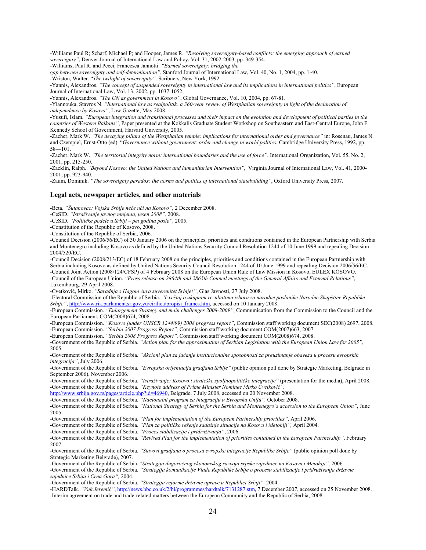-Williams Paul R; Scharf, Michael P; and Hooper, James R. *"Resolving sovereignty-based conflicts: the emerging approach of earned sovereignty"*, Denver Journal of International Law and Policy, Vol. 31, 2002-2003, pp. 349-354.

-Williams, Paul R. and Pecci, Francesca Jannotti. *"Earned sovereignty: bridging the* 

*gap between sovereignty and self-determination"*, Stanford Journal of International Law, Vol. 40, No. 1, 2004, pp. 1-40.

-Wriston, Walter. "*The twilight of sovereignty",* Scribners, New York, 1992.

-Yannis, Alexandros. *"The concept of suspended sovereignty in international law and its implications in international politics"*, European Journal of International Law, Vol. 13, 2002, pp. 1037-1052.

-Yannis, Alexandros. *"The UN as government in Kosovo"*, Global Governance, Vol. 10, 2004, pp. 67-81.

-Yiannouka, Stavros N. *"International law as realpolitik: a 360-year review of Westphalian sovereignty in light of the declaration of independence by Kosovo"*, Law Gazette, May 2008.

-Yusufi, Islam. *"European integration and transitional processes and their impact on the evolution and development of political parties in the countries of Western Balkans"*, Paper presented at the Kokkalis Graduate Student Workshop on Southeastern and East-Central Europe, John F. Kennedy School of Government, Harvard University, 2005.

-Zacher, Mark W. *"The decaying pillars of the Westphalian temple: implications for international order and governance"* in: Rosenau, James N. and Czempiel, Ernst-Otto (ed). "*Governance without government: order and change in world politics*, Cambridge University Press, 1992, pp. 58—101.

-Zacher, Mark W. *"The territorial integrity norm: international boundaries and the use of force"*, International Organization, Vol. 55, No. 2, 2001, pp. 215-250.

-Zacklin, Ralph. *"Beyond Kosovo: the United Nations and humanitarian Intervention"*, Virginia Journal of International Law, Vol. 41, 2000- 2001, pp. 923-940.

-Zaum, Dominik. *"The sovereignty paradox: the norms and politics of international statebuilding"*, Oxford University Press, 2007.

#### **Legal acts, newspaper articles, and other materials**

-Beta. *"Šutanovac: Vojska Srbije neće ući na Kosovo",* 2 December 2008.

-CeSID. *"Istraživanje javnog mnjenja, jesen 2008",* 2008.

-CeSID. *"Političke podele u Srbiji – pet godina posle"*, 2005.

-Constitution of the Republic of Kosovo, 2008.

-Constitution of the Republic of Serbia, 2006.

-Council Decision (2006/56/EC) of 30 January 2006 on the principles, priorities and conditions contained in the European Partnership with Serbia and Montenegro including Kosovo as defined by the United Nations Security Council Resolution 1244 of 10 June 1999 and repealing Decision 2004/520/EC.

-Council Decision (2008/213/EC) of 18 February 2008 on the principles, priorities and conditions contained in the European Partnership with Serbia including Kosovo as defined by United Nations Security Council Resolution 1244 of 10 June 1999 and repealing Decision 2006/56/EC. -Council Joint Action (2008/124/CFSP) of 4 February 2008 on the European Union Rule of Law Mission in Kosovo, EULEX KOSOVO. -Council of the European Union. *"Press release on 2864th and 2865th Council meetings of the General Affairs and External Relations"*,

Luxembourg, 29 April 2008.

-Cvetković, Mirko. *"Saradnja s Hagom čuva suverenitet Srbije!"*, Glas Javnosti, 27 July 2008.

-Electoral Commission of the Republic of Serbia. *"Izveštaj o ukupnim rezultatima izbora za narodne poslanike Narodne Skupštine Republike Srbije"*, [http://www.rik.parlament.sr.gov.yu/cirilica/propisi\\_frames.htm,](http://www.rik.parlament.sr.gov.yu/cirilica/propisi_frames.htm) accessed on 10 January 2008.

-European Commission. *"Enlargement Strategy and main challenges 2008-2009"*, Communication from the Commission to the Council and the European Parliament, COM(2008)674, 2008.

-European Commission. *"Kosovo (under UNSCR 1244/99) 2008 progress report"*, Commission staff working document SEC(2008) 2697, 2008. -European Commission. *"Serbia 2007 Progress Report",* Commission staff working document COM(2007)663, 2007.

-European Commission. *"Serbia 2008 Progress Report",* Commission staff working document COM(2008)674, 2008.

-Government of the Republic of Serbia. *"Action plan for the approximation of Serbian Legislation with the European Union Law for 2005"*, 2005.

-Government of the Republic of Serbia. *"Akcioni plan za jačanje institucionalne sposobnosti za preuzimanje obaveza u procesu evropskih integracija"*, July 2006.

-Government of the Republic of Serbia. *"Evropska orijentacija gradjana Srbije"* (public opinion poll done by Strategic Marketing, Belgrade in September 2006), November 2006.

-Government of the Republic of Serbia. *"Istraživanje: Kosovo i strateške spoljnopolitičke integracije"* (presentation for the media), April 2008. -Government of the Republic of Serbia. *"Keynote address of Prime Minister Nominee Mirko Cvetković",*

[http://www.srbija.gov.rs/pages/article.php?id=46940,](http://www.srbija.gov.rs/pages/article.php?id=46940) Belgrade, 7 July 2008, accessed on 20 November 2008.

-Government of the Republic of Serbia. *"Nacionalni program za integraciju u Evropsku Uniju",* October 2008.

-Government of the Republic of Serbia. *"National Strategy of Serbia for the Serbia and Montenegro's accession to the European Union"*, June 2005.

-Government of the Republic of Serbia. *"Plan for implementation of the European Partnership priorities"*, April 2006.

-Government of the Republic of Serbia. *"Plan za političko rešenje sadašnje situacije na Kosovu i Metohiji",* April 2004.

-Government of the Republic of Serbia. *"Proces stabilizacije i pridruživanja"*, 2006.

-Government of the Republic of Serbia. *"Revised Plan for the implementation of priorities contained in the European Partnership"*, February 2007.

-Government of the Republic of Serbia. *"Stavovi gradjana o procesu evropske integracije Republike Srbije"* (public opinion poll done by Strategic Marketing Belgrade), 2007.

-Government of the Republic of Serbia. *"Strategija dugoročnog ekonomskog razvoja srpske zajednice na Kosovu i Metohiji",* 2006.

-Government of the Republic of Serbia. *"Strategija komunikacije Vlade Republike Srbije o procesu stabilizacije i pridruživanja državne zajednice Srbija i Crna Gora",* 2004.

-Government of the Republic of Serbia. *"Strategija reforme državne uprave u Republici Srbiji",* 2004.

-HARDTalk. *"Vuk Jeremić"*, <http://news.bbc.co.uk/2/hi/programmes/hardtalk/7131287.stm>, 7 December 2007, accessed on 25 November 2008. -[Interim agreement on trade and trade-related matters between the European Community and the Republic of Serbia,](http://ec.europa.eu/enlargement/pdf/serbia/key_document/interim_agreement_trade_en.pdf) 2008.